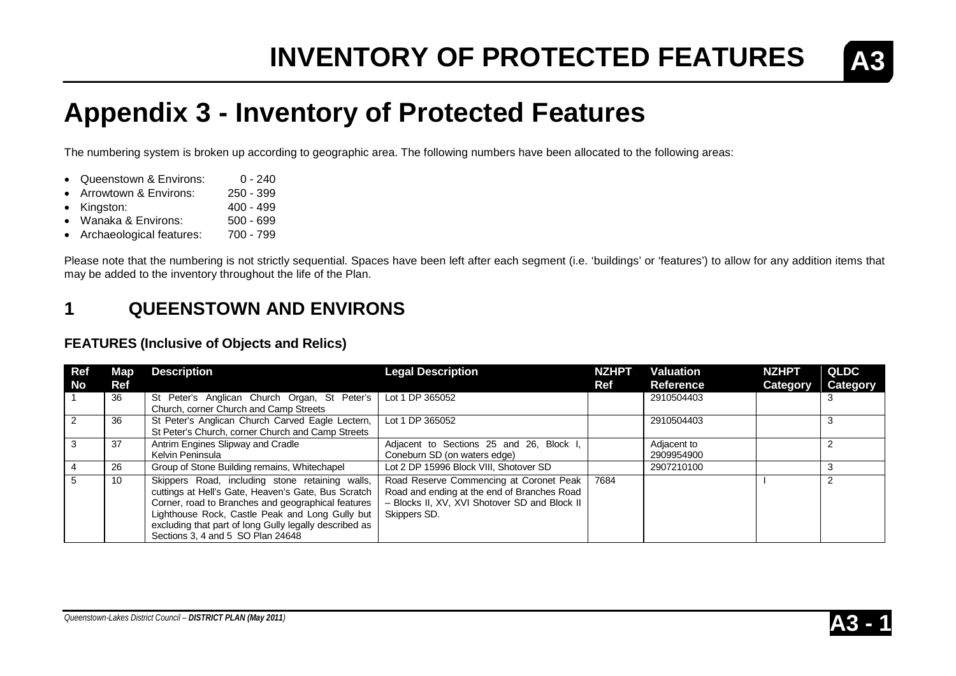

### **Appendix 3 - Inventory of Protected Features**

The numbering system is broken up according to geographic area. The following numbers have been allocated to the following areas:

- Queenstown & Environs: 0 240
- Arrowtown & Environs: 250 399
- Kingston: 400 499
- Wanaka & Environs: 500 699<br>• Archaeological features: 700 799
- Archaeological features:

Please note that the numbering is not strictly sequential. Spaces have been left after each segment (i.e. 'buildings' or 'features') to allow for any addition items that may be added to the inventory throughout the life of the Plan.

### **1 QUEENSTOWN AND ENVIRONS**

#### **FEATURES (Inclusive of Objects and Relics)**

| <b>Ref</b> | Map <sub>1</sub> | <b>Description</b>                                                                                                                                                                                                                                                                                             | <b>Legal Description</b>                                                                                                                                | <b>NZHPT</b> | Valuation                 | <b>NZHPT</b>    | <b>QLDC</b> |
|------------|------------------|----------------------------------------------------------------------------------------------------------------------------------------------------------------------------------------------------------------------------------------------------------------------------------------------------------------|---------------------------------------------------------------------------------------------------------------------------------------------------------|--------------|---------------------------|-----------------|-------------|
| No         | Ref              |                                                                                                                                                                                                                                                                                                                |                                                                                                                                                         | Ref          | Reference                 | <b>Category</b> | Category    |
|            | 36               | St Peter's Anglican Church Organ, St Peter's<br>Church, corner Church and Camp Streets                                                                                                                                                                                                                         | Lot 1 DP 365052                                                                                                                                         |              | 2910504403                |                 |             |
|            | 36               | St Peter's Anglican Church Carved Eagle Lectern,<br>St Peter's Church, corner Church and Camp Streets                                                                                                                                                                                                          | Lot 1 DP 365052                                                                                                                                         |              | 2910504403                |                 |             |
|            | 37               | Antrim Engines Slipway and Cradle<br>Kelvin Peninsula                                                                                                                                                                                                                                                          | Adjacent to Sections 25 and 26, Block I<br>Coneburn SD (on waters edge)                                                                                 |              | Adjacent to<br>2909954900 |                 |             |
|            | 26               | Group of Stone Building remains, Whitechapel                                                                                                                                                                                                                                                                   | Lot 2 DP 15996 Block VIII, Shotover SD                                                                                                                  |              | 2907210100                |                 |             |
|            | 10               | Skippers Road, including stone retaining walls,<br>cuttings at Hell's Gate, Heaven's Gate, Bus Scratch<br>Corner, road to Branches and geographical features<br>Lighthouse Rock, Castle Peak and Long Gully but<br>excluding that part of long Gully legally described as<br>Sections 3, 4 and 5 SO Plan 24648 | Road Reserve Commencing at Coronet Peak<br>Road and ending at the end of Branches Road<br>- Blocks II, XV, XVI Shotover SD and Block II<br>Skippers SD. | 7684         |                           |                 |             |

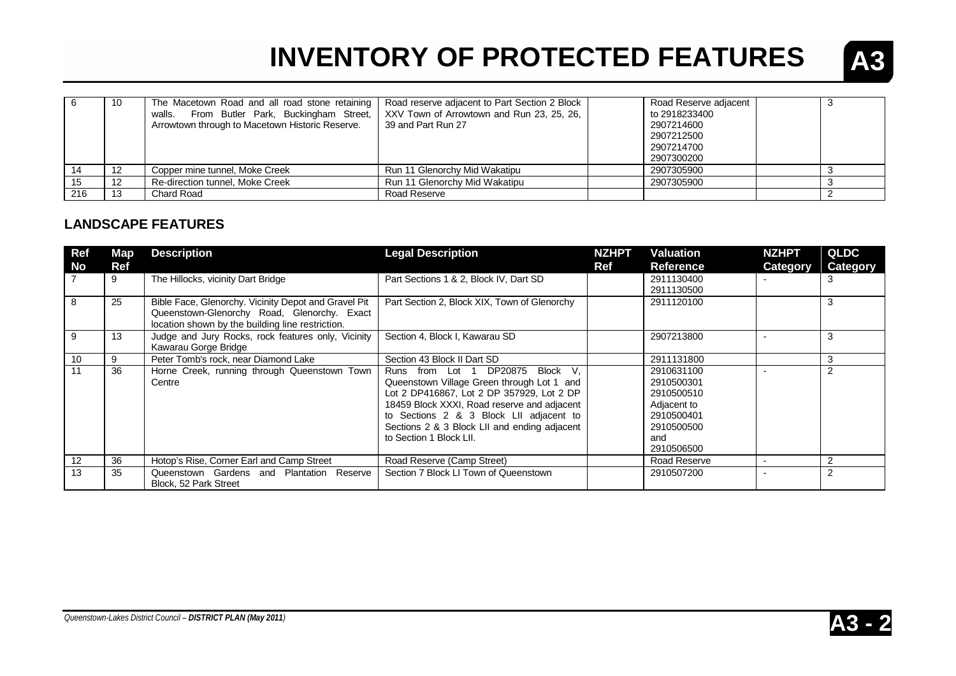

|     | 10  | The Macetown Road and all road stone retaining<br>From Butler Park, Buckingham Street,<br>walls.<br>Arrowtown through to Macetown Historic Reserve. | Road reserve adjacent to Part Section 2 Block<br>XXV Town of Arrowtown and Run 23, 25, 26,<br>39 and Part Run 27 | Road Reserve adjacent<br>to 2918233400<br>2907214600<br>2907212500<br>2907214700<br>2907300200 |  |
|-----|-----|-----------------------------------------------------------------------------------------------------------------------------------------------------|------------------------------------------------------------------------------------------------------------------|------------------------------------------------------------------------------------------------|--|
|     | -12 | Copper mine tunnel, Moke Creek                                                                                                                      | Run 11 Glenorchy Mid Wakatipu                                                                                    | 2907305900                                                                                     |  |
|     | 12  | Re-direction tunnel. Moke Creek                                                                                                                     | Run 11 Glenorchy Mid Wakatipu                                                                                    | 2907305900                                                                                     |  |
| 216 |     | Chard Road                                                                                                                                          | Road Reserve                                                                                                     |                                                                                                |  |

#### **LANDSCAPE FEATURES**

| Ref               | Map | <b>Description</b>                                                                                                                                      | <b>Legal Description</b>                     | <b>NZHPT</b> | <b>Valuation</b> | <b>NZHPT</b>    | <b>QLDC</b>    |
|-------------------|-----|---------------------------------------------------------------------------------------------------------------------------------------------------------|----------------------------------------------|--------------|------------------|-----------------|----------------|
| No                | Ref |                                                                                                                                                         |                                              | Ref          | <b>Reference</b> | <b>Category</b> | Category       |
|                   | 9   | The Hillocks, vicinity Dart Bridge                                                                                                                      | Part Sections 1 & 2, Block IV, Dart SD       |              | 2911130400       |                 | 3              |
|                   |     |                                                                                                                                                         |                                              |              | 2911130500       |                 |                |
| 8                 | 25  | Bible Face, Glenorchy. Vicinity Depot and Gravel Pit<br>Queenstown-Glenorchy Road, Glenorchy. Exact<br>location shown by the building line restriction. | Part Section 2, Block XIX, Town of Glenorchy |              | 2911120100       |                 | 3              |
| 9                 | 13  | Judge and Jury Rocks, rock features only, Vicinity<br>Kawarau Gorge Bridge                                                                              | Section 4, Block I, Kawarau SD               |              | 2907213800       |                 | 3              |
| 10                | 9   | Peter Tomb's rock, near Diamond Lake                                                                                                                    | Section 43 Block II Dart SD                  |              | 2911131800       |                 | 3              |
| 11                | 36  | Horne Creek, running through Queenstown Town                                                                                                            | DP20875 Block V.<br>Runs from Lot 1          |              | 2910631100       |                 | $\overline{2}$ |
|                   |     | Centre                                                                                                                                                  | Queenstown Village Green through Lot 1 and   |              | 2910500301       |                 |                |
|                   |     |                                                                                                                                                         | Lot 2 DP416867, Lot 2 DP 357929, Lot 2 DP    |              | 2910500510       |                 |                |
|                   |     |                                                                                                                                                         | 18459 Block XXXI, Road reserve and adjacent  |              | Adjacent to      |                 |                |
|                   |     |                                                                                                                                                         | to Sections 2 & 3 Block LII adjacent to      |              | 2910500401       |                 |                |
|                   |     |                                                                                                                                                         | Sections 2 & 3 Block LII and ending adjacent |              | 2910500500       |                 |                |
|                   |     |                                                                                                                                                         | to Section 1 Block LII.                      |              | and              |                 |                |
|                   |     |                                                                                                                                                         |                                              |              | 2910506500       |                 |                |
| $12 \overline{ }$ | 36  | Hotop's Rise, Corner Earl and Camp Street                                                                                                               | Road Reserve (Camp Street)                   |              | Road Reserve     |                 |                |
| 13                | 35  | Queenstown Gardens and Plantation Reserve<br>Block, 52 Park Street                                                                                      | Section 7 Block LI Town of Queenstown        |              | 2910507200       |                 | $\overline{2}$ |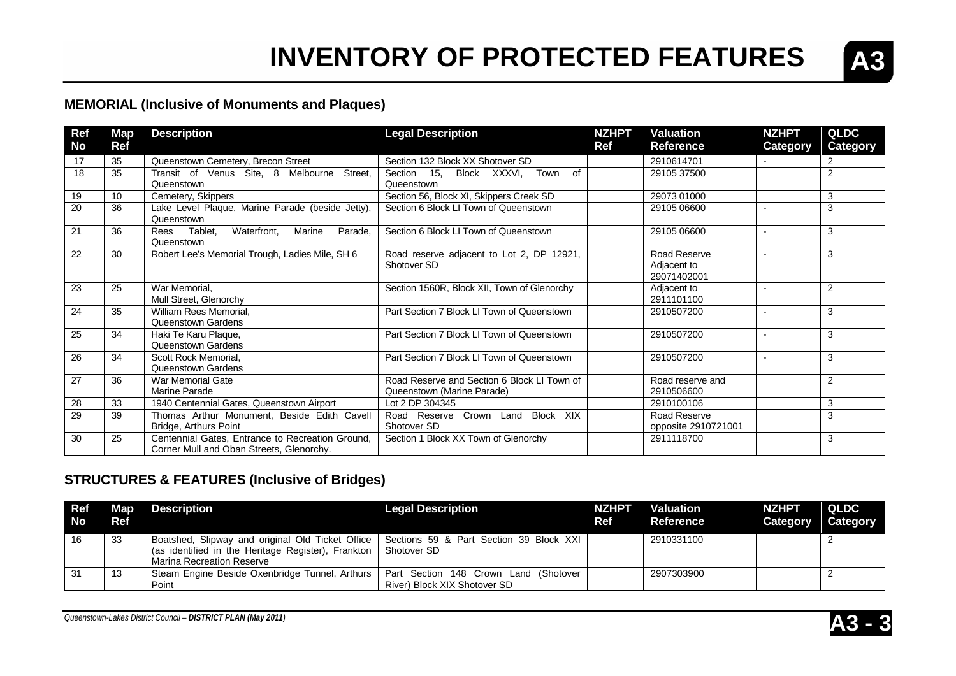

### **MEMORIAL (Inclusive of Monuments and Plaques)**

| Ref       | <b>Map</b> | <b>Description</b>                                                                           | <b>Legal Description</b>                                                  | <b>NZHPT</b> | <b>Valuation</b>                           | <b>NZHPT</b>             | <b>QLDC</b>    |
|-----------|------------|----------------------------------------------------------------------------------------------|---------------------------------------------------------------------------|--------------|--------------------------------------------|--------------------------|----------------|
| <b>No</b> | Ref        |                                                                                              |                                                                           | Ref          | <b>Reference</b>                           | Category                 | Category       |
| 17        | 35         | Queenstown Cemetery, Brecon Street                                                           | Section 132 Block XX Shotover SD                                          |              | 2910614701                                 |                          | 2              |
| 18        | 35         | Transit of Venus Site, 8 Melbourne<br>Street,<br>Queenstown                                  | Section 15.<br>Block XXXVI, Town<br>of<br>Queenstown                      |              | 29105 37500                                |                          | $\overline{2}$ |
| 19        | 10         | Cemetery, Skippers                                                                           | Section 56, Block XI, Skippers Creek SD                                   |              | 29073 01000                                |                          | 3              |
| 20        | 36         | Lake Level Plaque, Marine Parade (beside Jetty),<br>Queenstown                               | Section 6 Block LI Town of Queenstown                                     |              | 29105 06600                                |                          | 3              |
| 21        | 36         | Waterfront,<br>Parade,<br>Tablet,<br>Marine<br>Rees<br>Queenstown                            | Section 6 Block LI Town of Queenstown                                     |              | 29105 06600                                | $\overline{\phantom{a}}$ | 3              |
| 22        | 30         | Robert Lee's Memorial Trough, Ladies Mile, SH 6                                              | Road reserve adjacent to Lot 2, DP 12921,<br>Shotover SD                  |              | Road Reserve<br>Adjacent to<br>29071402001 |                          | 3              |
| 23        | 25         | War Memorial.<br>Mull Street, Glenorchy                                                      | Section 1560R, Block XII, Town of Glenorchy                               |              | Adjacent to<br>2911101100                  |                          | 2              |
| 24        | 35         | William Rees Memorial,<br>Queenstown Gardens                                                 | Part Section 7 Block LI Town of Queenstown                                |              | 2910507200                                 |                          | 3              |
| 25        | 34         | Haki Te Karu Plaque,<br>Queenstown Gardens                                                   | Part Section 7 Block LI Town of Queenstown                                |              | 2910507200                                 | $\overline{\phantom{a}}$ | 3              |
| 26        | 34         | Scott Rock Memorial.<br>Queenstown Gardens                                                   | Part Section 7 Block LI Town of Queenstown                                |              | 2910507200                                 | $\overline{\phantom{a}}$ | 3              |
| 27        | 36         | War Memorial Gate<br>Marine Parade                                                           | Road Reserve and Section 6 Block LI Town of<br>Queenstown (Marine Parade) |              | Road reserve and<br>2910506600             |                          | 2              |
| 28        | 33         | 1940 Centennial Gates, Queenstown Airport                                                    | Lot 2 DP 304345                                                           |              | 2910100106                                 |                          | 3              |
| 29        | 39         | Thomas Arthur Monument, Beside Edith Cavell<br>Bridge, Arthurs Point                         | Road Reserve Crown Land Block XIX<br>Shotover SD                          |              | Road Reserve<br>opposite 2910721001        |                          | 3              |
| 30        | 25         | Centennial Gates, Entrance to Recreation Ground,<br>Corner Mull and Oban Streets, Glenorchy. | Section 1 Block XX Town of Glenorchy                                      |              | 2911118700                                 |                          | 3              |

### **STRUCTURES & FEATURES (Inclusive of Bridges)**

| <b>Ref</b><br><b>No</b> | Map<br><b>Ref</b> | <b>Description</b>                                                                                                                                                            | <b>Legal Description</b>                                              | <b>NZHPT</b><br>Ref | <b>Valuation</b><br>Reference | <b>NZHPT</b><br>Category | QLDC.<br>Category |
|-------------------------|-------------------|-------------------------------------------------------------------------------------------------------------------------------------------------------------------------------|-----------------------------------------------------------------------|---------------------|-------------------------------|--------------------------|-------------------|
| 16                      | 33                | Boatshed, Slipway and original Old Ticket Office   Sections 59 & Part Section 39 Block XXI<br>(as identified in the Heritage Register), Frankton<br>Marina Recreation Reserve | Shotover SD                                                           |                     | 2910331100                    |                          |                   |
| -31                     | כ ו               | Steam Engine Beside Oxenbridge Tunnel, Arthurs<br>Point                                                                                                                       | Part Section 148 Crown Land (Shotover<br>River) Block XIX Shotover SD |                     | 2907303900                    |                          |                   |

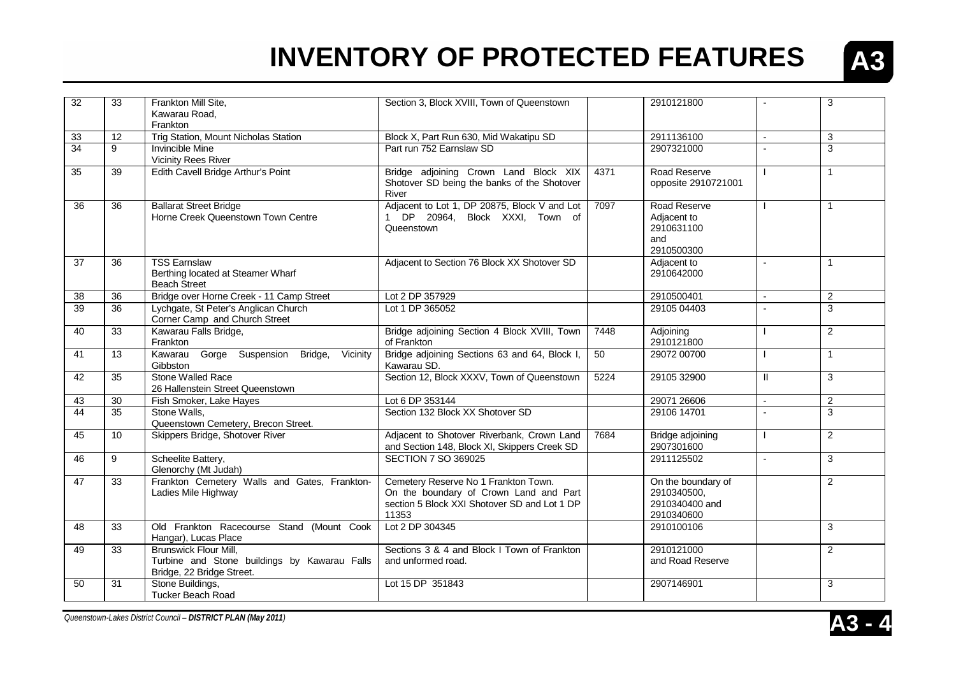

| 32              | 33              | Frankton Mill Site,                                                    | Section 3, Block XVIII, Town of Queenstown                                      |      | 2910121800                  |                | 3              |
|-----------------|-----------------|------------------------------------------------------------------------|---------------------------------------------------------------------------------|------|-----------------------------|----------------|----------------|
|                 |                 | Kawarau Road,                                                          |                                                                                 |      |                             |                |                |
|                 |                 | Frankton                                                               |                                                                                 |      |                             |                |                |
| 33              | 12              | Trig Station, Mount Nicholas Station                                   | Block X, Part Run 630, Mid Wakatipu SD                                          |      | 2911136100                  | $\mathbf{r}$   | 3              |
| $\overline{34}$ | 9               | <b>Invincible Mine</b>                                                 | Part run 752 Earnslaw SD                                                        |      | 2907321000                  |                | 3              |
|                 |                 | <b>Vicinity Rees River</b>                                             |                                                                                 |      |                             |                |                |
| 35              | 39              | Edith Cavell Bridge Arthur's Point                                     | Bridge adjoining Crown Land Block XIX                                           | 4371 | Road Reserve                |                | $\mathbf{1}$   |
|                 |                 |                                                                        | Shotover SD being the banks of the Shotover                                     |      | opposite 2910721001         |                |                |
|                 |                 |                                                                        | River                                                                           |      |                             |                |                |
| 36              | 36              | <b>Ballarat Street Bridge</b><br>Horne Creek Queenstown Town Centre    | Adjacent to Lot 1, DP 20875, Block V and Lot<br>1 DP 20964, Block XXXI, Town of | 7097 | Road Reserve<br>Adjacent to |                | $\mathbf{1}$   |
|                 |                 |                                                                        | Queenstown                                                                      |      | 2910631100                  |                |                |
|                 |                 |                                                                        |                                                                                 |      | and                         |                |                |
|                 |                 |                                                                        |                                                                                 |      | 2910500300                  |                |                |
| 37              | 36              | <b>TSS Earnslaw</b>                                                    | Adjacent to Section 76 Block XX Shotover SD                                     |      | Adjacent to                 | $\sim$         | $\mathbf{1}$   |
|                 |                 | Berthing located at Steamer Wharf                                      |                                                                                 |      | 2910642000                  |                |                |
|                 |                 | <b>Beach Street</b>                                                    |                                                                                 |      |                             |                |                |
| 38              | 36              | Bridge over Horne Creek - 11 Camp Street                               | Lot 2 DP 357929                                                                 |      | 2910500401                  | $\sim$         | $\mathbf{2}$   |
| 39              | 36              | Lychgate, St Peter's Anglican Church                                   | Lot 1 DP 365052                                                                 |      | 29105 04403                 |                | 3              |
| 40              | 33              | Corner Camp and Church Street<br>Kawarau Falls Bridge,                 | Bridge adjoining Section 4 Block XVIII, Town                                    | 7448 |                             |                | $\overline{2}$ |
|                 |                 | Frankton                                                               | of Frankton                                                                     |      | Adjoining<br>2910121800     |                |                |
| 41              | 13              | Gorge Suspension<br>Bridge,<br>Vicinity<br>Kawarau                     | Bridge adjoining Sections 63 and 64, Block I,                                   | 50   | 29072 00700                 |                | $\mathbf{1}$   |
|                 |                 | Gibbston                                                               | Kawarau SD.                                                                     |      |                             |                |                |
| 42              | 35              | Stone Walled Race                                                      | Section 12, Block XXXV, Town of Queenstown                                      | 5224 | 29105 32900                 | Ш              | 3              |
|                 |                 | 26 Hallenstein Street Queenstown                                       |                                                                                 |      |                             |                |                |
| 43              | 30              | Fish Smoker, Lake Hayes                                                | Lot 6 DP 353144                                                                 |      | 29071 26606                 |                | $\overline{2}$ |
| 44              | 35              | Stone Walls,                                                           | Section 132 Block XX Shotover SD                                                |      | 29106 14701                 |                | 3              |
| 45              | 10 <sup>°</sup> | Queenstown Cemetery, Brecon Street.<br>Skippers Bridge, Shotover River | Adjacent to Shotover Riverbank, Crown Land                                      | 7684 | Bridge adjoining            |                | $\overline{2}$ |
|                 |                 |                                                                        | and Section 148, Block XI, Skippers Creek SD                                    |      | 2907301600                  |                |                |
| 46              | 9               | Scheelite Battery,                                                     | <b>SECTION 7 SO 369025</b>                                                      |      | 2911125502                  | $\overline{a}$ | 3              |
|                 |                 | Glenorchy (Mt Judah)                                                   |                                                                                 |      |                             |                |                |
| 47              | 33              | Frankton Cemetery Walls and Gates, Frankton-                           | Cemetery Reserve No 1 Frankton Town.                                            |      | On the boundary of          |                | $\overline{2}$ |
|                 |                 | Ladies Mile Highway                                                    | On the boundary of Crown Land and Part                                          |      | 2910340500,                 |                |                |
|                 |                 |                                                                        | section 5 Block XXI Shotover SD and Lot 1 DP                                    |      | 2910340400 and              |                |                |
|                 |                 |                                                                        | 11353                                                                           |      | 2910340600                  |                |                |
| 48              | 33              | Old Frankton Racecourse Stand (Mount Cook<br>Hangar), Lucas Place      | Lot 2 DP 304345                                                                 |      | 2910100106                  |                | 3              |
| 49              | 33              | <b>Brunswick Flour Mill,</b>                                           | Sections 3 & 4 and Block I Town of Frankton                                     |      | 2910121000                  |                | $\overline{2}$ |
|                 |                 | Turbine and Stone buildings by Kawarau Falls                           | and unformed road.                                                              |      | and Road Reserve            |                |                |
|                 |                 | Bridge, 22 Bridge Street.                                              |                                                                                 |      |                             |                |                |
| 50              | 31              | Stone Buildings,<br>Tucker Beach Road                                  | Lot 15 DP 351843                                                                |      | 2907146901                  |                | 3              |
|                 |                 |                                                                        |                                                                                 |      |                             |                |                |

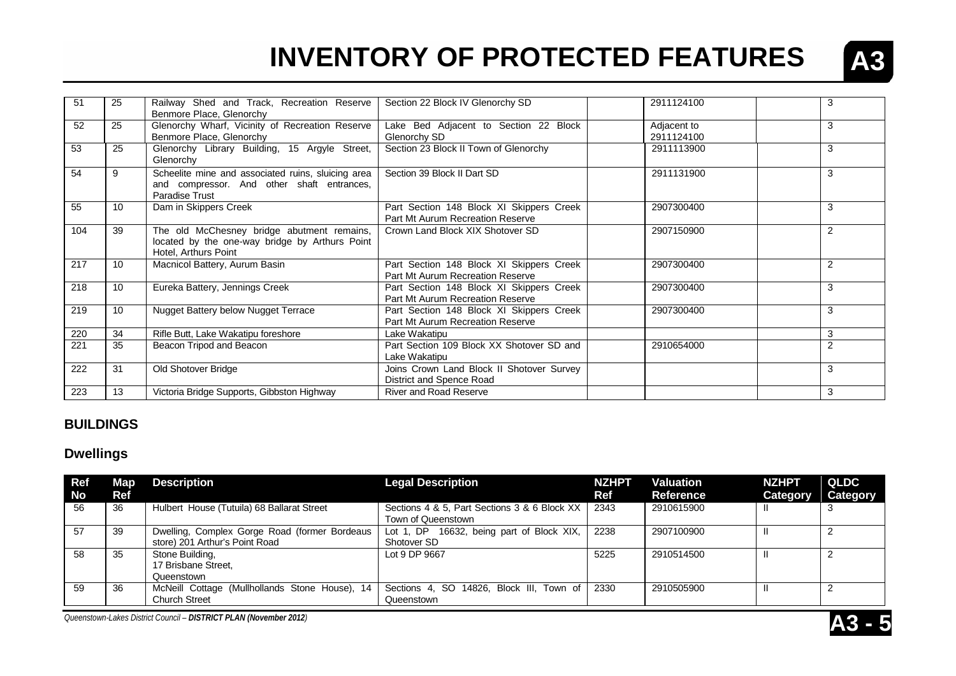

| 51               | 25 | Railway Shed and Track, Recreation Reserve         | Section 22 Block IV Glenorchy SD          | 2911124100  | 3 |
|------------------|----|----------------------------------------------------|-------------------------------------------|-------------|---|
|                  |    | Benmore Place, Glenorchy                           |                                           |             |   |
| 52               | 25 | Glenorchy Wharf, Vicinity of Recreation Reserve    | Lake Bed Adjacent to Section 22 Block     | Adjacent to | 3 |
|                  |    | Benmore Place, Glenorchy                           | Glenorchy SD                              | 2911124100  |   |
| 53               | 25 | Glenorchy Library Building, 15 Argyle Street,      | Section 23 Block II Town of Glenorchy     | 2911113900  | 3 |
|                  |    |                                                    |                                           |             |   |
|                  |    | Glenorchy                                          |                                           |             |   |
| 54               | 9  | Scheelite mine and associated ruins, sluicing area | Section 39 Block II Dart SD               | 2911131900  | 3 |
|                  |    | and compressor. And other shaft entrances,         |                                           |             |   |
|                  |    | Paradise Trust                                     |                                           |             |   |
| 55               | 10 | Dam in Skippers Creek                              | Part Section 148 Block XI Skippers Creek  | 2907300400  | 3 |
|                  |    |                                                    | Part Mt Aurum Recreation Reserve          |             |   |
|                  |    |                                                    |                                           |             |   |
| 104              | 39 | The old McChesney bridge abutment remains,         | Crown Land Block XIX Shotover SD          | 2907150900  | 2 |
|                  |    | located by the one-way bridge by Arthurs Point     |                                           |             |   |
|                  |    | Hotel, Arthurs Point                               |                                           |             |   |
| 217              | 10 | Macnicol Battery, Aurum Basin                      | Part Section 148 Block XI Skippers Creek  | 2907300400  | 2 |
|                  |    |                                                    | Part Mt Aurum Recreation Reserve          |             |   |
| 218              | 10 | Eureka Battery, Jennings Creek                     | Part Section 148 Block XI Skippers Creek  | 2907300400  | 3 |
|                  |    |                                                    | Part Mt Aurum Recreation Reserve          |             |   |
| 219              | 10 | <b>Nugget Battery below Nugget Terrace</b>         | Part Section 148 Block XI Skippers Creek  | 2907300400  | 3 |
|                  |    |                                                    |                                           |             |   |
|                  |    |                                                    | Part Mt Aurum Recreation Reserve          |             |   |
| 220              | 34 | Rifle Butt, Lake Wakatipu foreshore                | Lake Wakatipu                             |             | 3 |
| 221              | 35 | Beacon Tripod and Beacon                           | Part Section 109 Block XX Shotover SD and | 2910654000  | 2 |
|                  |    |                                                    | Lake Wakatipu                             |             |   |
| 222              | 31 | Old Shotover Bridge                                | Joins Crown Land Block II Shotover Survey |             | 3 |
|                  |    |                                                    | District and Spence Road                  |             |   |
| $\overline{223}$ | 13 | Victoria Bridge Supports, Gibbston Highway         | <b>River and Road Reserve</b>             |             | 3 |
|                  |    |                                                    |                                           |             |   |

#### **BUILDINGS**

#### **Dwellings**

| Ref<br><b>No</b> | Map.<br>Ref | <b>Description</b>                             | <b>Legal Description</b>                                           | <b>NZHPT</b><br>Ref | <b>Valuation</b><br>Reference | <b>NZHPT</b><br>Category | QLDC<br><b>Category</b> |
|------------------|-------------|------------------------------------------------|--------------------------------------------------------------------|---------------------|-------------------------------|--------------------------|-------------------------|
| 56               | 36          | Hulbert House (Tutuila) 68 Ballarat Street     | Sections 4 & 5, Part Sections 3 & 6 Block XX<br>Town of Queenstown | 2343                | 2910615900                    | -II.                     |                         |
|                  |             |                                                |                                                                    |                     |                               |                          |                         |
| -57              | 39          | Dwelling, Complex Gorge Road (former Bordeaus  | 16632, being part of Block XIX,<br>Lot 1, DP                       | 2238                | 2907100900                    | H                        |                         |
|                  |             | store) 201 Arthur's Point Road                 | Shotover SD                                                        |                     |                               |                          |                         |
| 58               | 35          | Stone Building,                                | Lot 9 DP 9667                                                      | 5225                | 2910514500                    | H                        |                         |
|                  |             | 17 Brisbane Street.                            |                                                                    |                     |                               |                          |                         |
|                  |             | Queenstown                                     |                                                                    |                     |                               |                          |                         |
| 59               | 36          | McNeill Cottage (Mullhollands Stone House), 14 | Sections 4, SO 14826, Block III, Town of                           | 2330                | 2910505900                    | H                        |                         |
|                  |             | <b>Church Street</b>                           | Queenstown                                                         |                     |                               |                          |                         |

*Queenstown-Lakes District Council – DISTRICT PLAN (November 2012)* **A3 - 5**

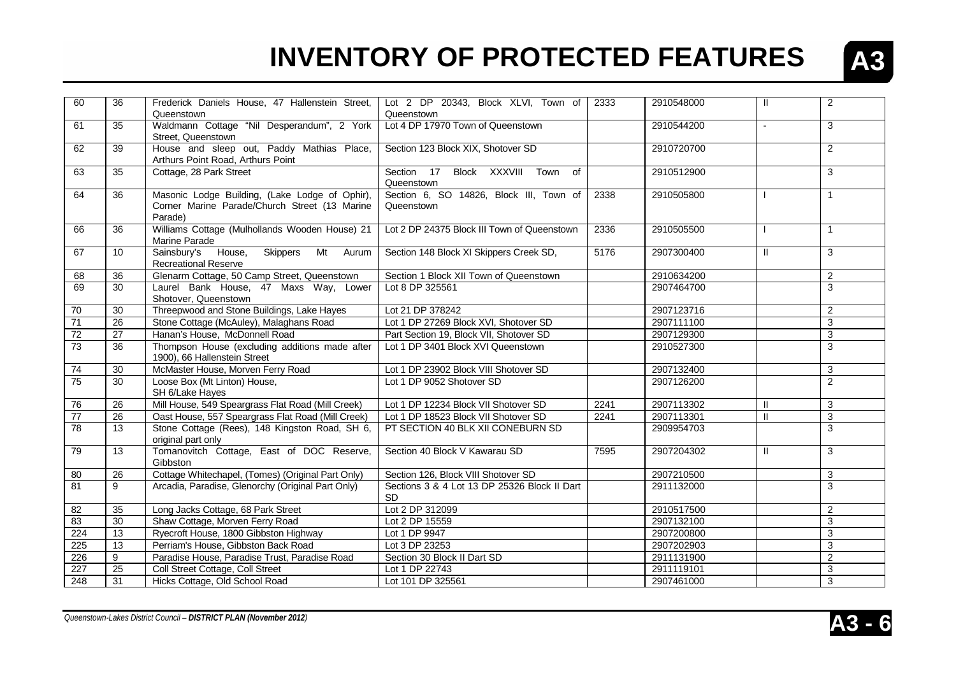

| 60              | 36              | Frederick Daniels House, 47 Hallenstein Street,<br>Queenstown                                              | Lot 2 DP 20343, Block XLVI, Town of<br>Queenstown         | 2333 | 2910548000 | $\mathbf{H}$  | $\overline{2}$ |
|-----------------|-----------------|------------------------------------------------------------------------------------------------------------|-----------------------------------------------------------|------|------------|---------------|----------------|
| 61              | 35              | Waldmann Cottage "Nil Desperandum", 2 York<br>Street, Queenstown                                           | Lot 4 DP 17970 Town of Queenstown                         |      | 2910544200 | $\sim$        | 3              |
| 62              | 39              | House and sleep out, Paddy Mathias Place,<br>Arthurs Point Road, Arthurs Point                             | Section 123 Block XIX, Shotover SD                        |      | 2910720700 |               | $\overline{2}$ |
| 63              | 35              | Cottage, 28 Park Street                                                                                    | Block XXXVIII<br>Section 17<br>Town of<br>Queenstown      |      | 2910512900 |               | 3              |
| 64              | 36              | Masonic Lodge Building, (Lake Lodge of Ophir),<br>Corner Marine Parade/Church Street (13 Marine<br>Parade) | Section 6, SO 14826, Block III, Town of<br>Queenstown     | 2338 | 2910505800 |               | $\mathbf{1}$   |
| 66              | 36              | Williams Cottage (Mulhollands Wooden House) 21<br>Marine Parade                                            | Lot 2 DP 24375 Block III Town of Queenstown               | 2336 | 2910505500 |               | $\mathbf{1}$   |
| 67              | 10              | Sainsbury's House, Skippers<br>Mt Aurum<br><b>Recreational Reserve</b>                                     | Section 148 Block XI Skippers Creek SD,                   | 5176 | 2907300400 | $\mathbf{H}$  | 3              |
| 68              | 36              | Glenarm Cottage, 50 Camp Street, Queenstown                                                                | Section 1 Block XII Town of Queenstown                    |      | 2910634200 |               | $\overline{2}$ |
| 69              | 30              | Laurel Bank House, 47 Maxs Way, Lower<br>Shotover, Queenstown                                              | Lot 8 DP 325561                                           |      | 2907464700 |               | 3              |
| 70              | 30              | Threepwood and Stone Buildings, Lake Hayes                                                                 | Lot 21 DP 378242                                          |      | 2907123716 |               | $\overline{2}$ |
| 71              | $\overline{26}$ | Stone Cottage (McAuley), Malaghans Road                                                                    | Lot 1 DP 27269 Block XVI, Shotover SD                     |      | 2907111100 |               | 3              |
| 72              | 27              | Hanan's House, McDonnell Road                                                                              | Part Section 19, Block VII, Shotover SD                   |      | 2907129300 |               | 3              |
| 73              | $\overline{36}$ | Thompson House (excluding additions made after<br>1900), 66 Hallenstein Street                             | Lot 1 DP 3401 Block XVI Queenstown                        |      | 2910527300 |               | 3              |
| 74              | 30              | McMaster House, Morven Ferry Road                                                                          | Lot 1 DP 23902 Block VIII Shotover SD                     |      | 2907132400 |               | 3              |
| 75              | 30              | Loose Box (Mt Linton) House,<br>SH 6/Lake Hayes                                                            | Lot 1 DP 9052 Shotover SD                                 |      | 2907126200 |               | $\overline{2}$ |
| ${\bf 76}$      | 26              | Mill House, 549 Speargrass Flat Road (Mill Creek)                                                          | Lot 1 DP 12234 Block VII Shotover SD                      | 2241 | 2907113302 | Ш             | 3              |
| $\overline{77}$ | 26              | Oast House, 557 Speargrass Flat Road (Mill Creek)                                                          | Lot 1 DP 18523 Block VII Shotover SD                      | 2241 | 2907113301 | $\mathbf{II}$ | $\overline{3}$ |
| 78              | 13              | Stone Cottage (Rees), 148 Kingston Road, SH 6,<br>original part only                                       | PT SECTION 40 BLK XII CONEBURN SD                         |      | 2909954703 |               | 3              |
| 79              | 13              | Tomanovitch Cottage, East of DOC Reserve,<br>Gibbston                                                      | Section 40 Block V Kawarau SD                             | 7595 | 2907204302 | $\mathbf{H}$  | 3              |
| $80\,$          | 26              | Cottage Whitechapel, (Tomes) (Original Part Only)                                                          | Section 126, Block VIII Shotover SD                       |      | 2907210500 |               | 3              |
| 81              | 9               | Arcadia, Paradise, Glenorchy (Original Part Only)                                                          | Sections 3 & 4 Lot 13 DP 25326 Block II Dart<br><b>SD</b> |      | 2911132000 |               | 3              |
| 82              | 35              | Long Jacks Cottage, 68 Park Street                                                                         | Lot 2 DP 312099                                           |      | 2910517500 |               | $\overline{2}$ |
| 83              | 30              | Shaw Cottage, Morven Ferry Road                                                                            | Lot 2 DP 15559                                            |      | 2907132100 |               | 3              |
| 224             | 13              | Ryecroft House, 1800 Gibbston Highway                                                                      | Lot 1 DP 9947                                             |      | 2907200800 |               | 3              |
| 225             | 13              | Perriam's House, Gibbston Back Road                                                                        | Lot 3 DP 23253                                            |      | 2907202903 |               | $\overline{3}$ |
| 226             | 9               | Paradise House, Paradise Trust, Paradise Road                                                              | Section 30 Block II Dart SD                               |      | 2911131900 |               | $\overline{c}$ |
| 227             | $\overline{25}$ | Coll Street Cottage, Coll Street                                                                           | Lot 1 DP 22743                                            |      | 2911119101 |               | 3              |
| 248             | 31              | Hicks Cottage, Old School Road                                                                             | Lot 101 DP 325561                                         |      | 2907461000 |               | $\overline{3}$ |

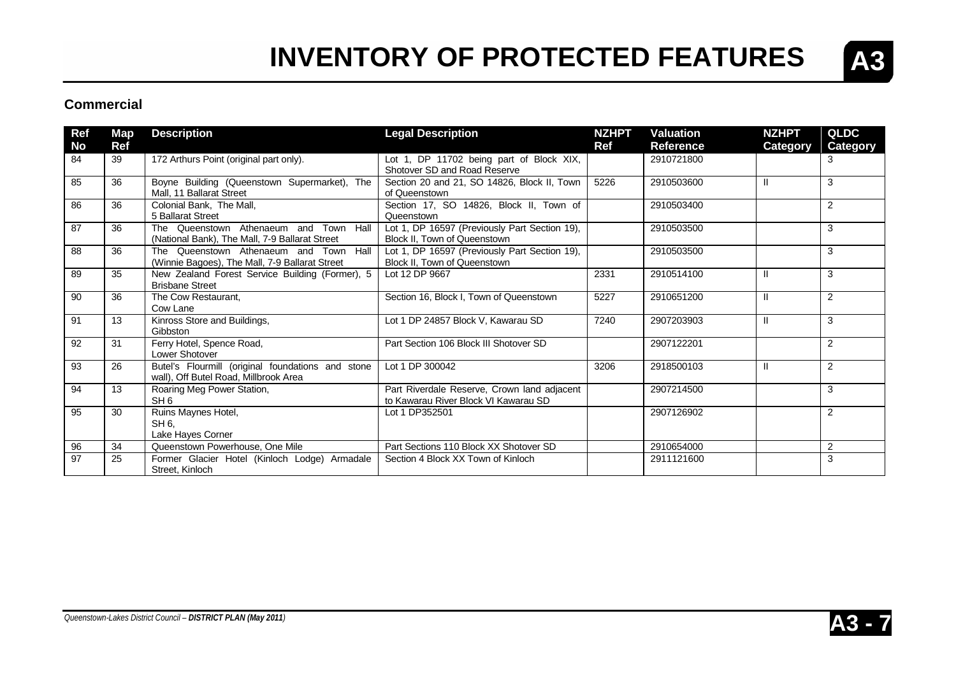

#### **Commercial**

| Ref      | Map<br><b>Ref</b> | <b>Description</b>                                                                         | <b>Legal Description</b>                                                             | <b>NZHPT</b><br><b>Ref</b> | <b>Valuation</b><br><b>Reference</b> | <b>NZHPT</b>    | <b>QLDC</b>          |
|----------|-------------------|--------------------------------------------------------------------------------------------|--------------------------------------------------------------------------------------|----------------------------|--------------------------------------|-----------------|----------------------|
| No<br>84 | 39                | 172 Arthurs Point (original part only).                                                    | Lot 1, DP 11702 being part of Block XIX,<br>Shotover SD and Road Reserve             |                            | 2910721800                           | <b>Category</b> | <b>Category</b><br>3 |
| 85       | 36                | Boyne Building (Queenstown Supermarket), The<br>Mall, 11 Ballarat Street                   | Section 20 and 21, SO 14826, Block II, Town<br>of Queenstown                         | 5226                       | 2910503600                           | Ш               | 3                    |
| 86       | 36                | Colonial Bank, The Mall,<br>5 Ballarat Street                                              | Section 17, SO 14826, Block II, Town of<br>Queenstown                                |                            | 2910503400                           |                 | 2                    |
| 87       | 36                | The Queenstown Athenaeum and Town Hall<br>(National Bank), The Mall, 7-9 Ballarat Street   | Lot 1, DP 16597 (Previously Part Section 19),<br><b>Block II. Town of Queenstown</b> |                            | 2910503500                           |                 | 3                    |
| 88       | 36                | The Queenstown Athenaeum and Town Hall<br>(Winnie Bagoes), The Mall, 7-9 Ballarat Street   | Lot 1, DP 16597 (Previously Part Section 19),<br>Block II, Town of Queenstown        |                            | 2910503500                           |                 | 3                    |
| 89       | 35                | New Zealand Forest Service Building (Former), 5<br><b>Brisbane Street</b>                  | Lot 12 DP 9667                                                                       | 2331                       | 2910514100                           | $\mathbf{H}$    | 3                    |
| 90       | 36                | The Cow Restaurant,<br>Cow Lane                                                            | Section 16, Block I, Town of Queenstown                                              | 5227                       | 2910651200                           | $\mathbf{H}$    | 2                    |
| 91       | 13                | Kinross Store and Buildings,<br>Gibbston                                                   | Lot 1 DP 24857 Block V, Kawarau SD                                                   | 7240                       | 2907203903                           | Ш               | 3                    |
| 92       | 31                | Ferry Hotel, Spence Road,<br>Lower Shotover                                                | Part Section 106 Block III Shotover SD                                               |                            | 2907122201                           |                 | 2                    |
| 93       | 26                | Butel's Flourmill (original foundations and stone<br>wall), Off Butel Road, Millbrook Area | Lot 1 DP 300042                                                                      | 3206                       | 2918500103                           | $\mathbf{H}$    | 2                    |
| 94       | 13                | Roaring Meg Power Station,<br>SH <sub>6</sub>                                              | Part Riverdale Reserve, Crown land adjacent<br>to Kawarau River Block VI Kawarau SD  |                            | 2907214500                           |                 | 3                    |
| 95       | 30                | Ruins Maynes Hotel,<br>SH 6.<br>Lake Hayes Corner                                          | Lot 1 DP352501                                                                       |                            | 2907126902                           |                 | 2                    |
| 96       | 34                | Queenstown Powerhouse, One Mile                                                            | Part Sections 110 Block XX Shotover SD                                               |                            | 2910654000                           |                 | $\overline{2}$       |
| 97       | 25                | Former Glacier Hotel (Kinloch Lodge) Armadale<br>Street. Kinloch                           | Section 4 Block XX Town of Kinloch                                                   |                            | 2911121600                           |                 | 3                    |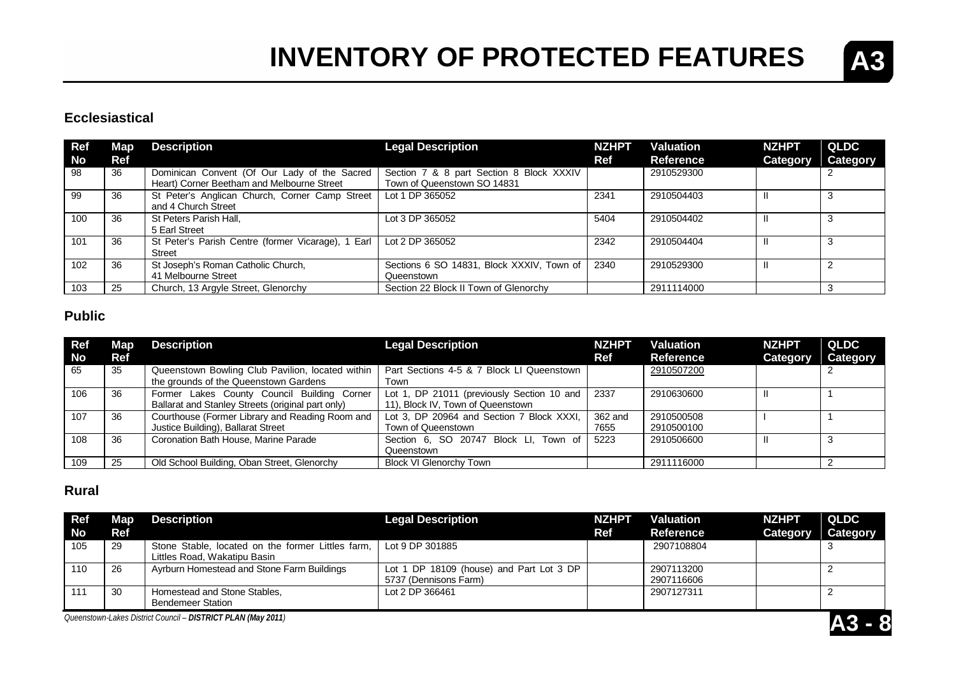

#### **Ecclesiastical**

| Ref<br>No | Map<br>Ref | <b>Description</b>                                                                         | <b>Legal Description</b>                                                | <b>NZHPT</b><br>Ref | <b>Valuation</b><br>Reference | <b>NZHPT</b><br><b>Category</b> | QLDC<br>Category |
|-----------|------------|--------------------------------------------------------------------------------------------|-------------------------------------------------------------------------|---------------------|-------------------------------|---------------------------------|------------------|
| 98        | 36         | Dominican Convent (Of Our Lady of the Sacred<br>Heart) Corner Beetham and Melbourne Street | Section 7 & 8 part Section 8 Block XXXIV<br>Town of Queenstown SO 14831 |                     | 2910529300                    |                                 |                  |
| 99        | 36         | St Peter's Anglican Church, Corner Camp Street<br>and 4 Church Street                      | Lot 1 DP 365052                                                         | 2341                | 2910504403                    |                                 |                  |
| 100       | 36         | St Peters Parish Hall,<br>5 Earl Street                                                    | Lot 3 DP 365052                                                         | 5404                | 2910504402                    |                                 |                  |
| 101       | 36         | St Peter's Parish Centre (former Vicarage), 1 Earl<br>Street                               | Lot 2 DP 365052                                                         | 2342                | 2910504404                    |                                 |                  |
| 102       | 36         | St Joseph's Roman Catholic Church,<br>41 Melbourne Street                                  | Sections 6 SO 14831, Block XXXIV, Town of<br>Queenstown                 | 2340                | 2910529300                    |                                 |                  |
| 103       | 25         | Church, 13 Argyle Street, Glenorchy                                                        | Section 22 Block II Town of Glenorchy                                   |                     | 2911114000                    |                                 |                  |

#### **Public**

| <b>Ref</b><br><b>No</b> | Map <sub>1</sub><br>Ref | <b>Description</b>                                                                               | <b>Legal Description</b>                                                        | <b>NZHPT</b><br>Ref | <b>Valuation</b><br><b>Reference</b> | <b>NZHPT</b><br>Category | QLDC<br>Category |
|-------------------------|-------------------------|--------------------------------------------------------------------------------------------------|---------------------------------------------------------------------------------|---------------------|--------------------------------------|--------------------------|------------------|
| 65                      | 35                      | Queenstown Bowling Club Pavilion, located within<br>the grounds of the Queenstown Gardens        | Part Sections 4-5 & 7 Block LI Queenstown<br>Town                               |                     | 2910507200                           |                          |                  |
| 106                     | 36                      | Former Lakes County Council Building Corner<br>Ballarat and Stanley Streets (original part only) | Lot 1, DP 21011 (previously Section 10 and<br>11), Block IV, Town of Queenstown | 2337                | 2910630600                           |                          |                  |
| 107                     | 36                      | Courthouse (Former Library and Reading Room and<br>Justice Building), Ballarat Street            | Lot 3, DP 20964 and Section 7 Block XXXI,<br>Town of Queenstown                 | 362 and<br>7655     | 2910500508<br>2910500100             |                          |                  |
| 108                     | 36                      | Coronation Bath House, Marine Parade                                                             | Section 6, SO 20747 Block LI, Town of<br>Queenstown                             | 5223                | 2910506600                           |                          |                  |
| 109                     | 25                      | Old School Building, Oban Street, Glenorchy                                                      | <b>Block VI Glenorchy Town</b>                                                  |                     | 2911116000                           |                          |                  |

#### **Rural**

| <b>Ref</b><br>l No | Map<br>Ref | <b>Description</b>                                                                | <b>Legal Description</b>                                          | <b>NZHPT</b><br>Ref | <b>Valuation</b><br><b>Reference</b> | <b>NZHPT</b><br>Category | <b>QLDC</b><br><b>Category</b> |
|--------------------|------------|-----------------------------------------------------------------------------------|-------------------------------------------------------------------|---------------------|--------------------------------------|--------------------------|--------------------------------|
| 105                | 29         | Stone Stable, located on the former Littles farm,<br>Littles Road, Wakatipu Basin | Lot 9 DP 301885                                                   |                     | 2907108804                           |                          |                                |
| 110                | 26         | Ayrburn Homestead and Stone Farm Buildings                                        | Lot 1 DP 18109 (house) and Part Lot 3 DP<br>5737 (Dennisons Farm) |                     | 2907113200<br>2907116606             |                          |                                |
|                    | 30         | Homestead and Stone Stables,<br>Bendemeer Station                                 | Lot 2 DP 366461                                                   |                     | 2907127311                           |                          |                                |

*Queenstown-Lakes District Council – DISTRICT PLAN (May 2011)* **A3 - 8**

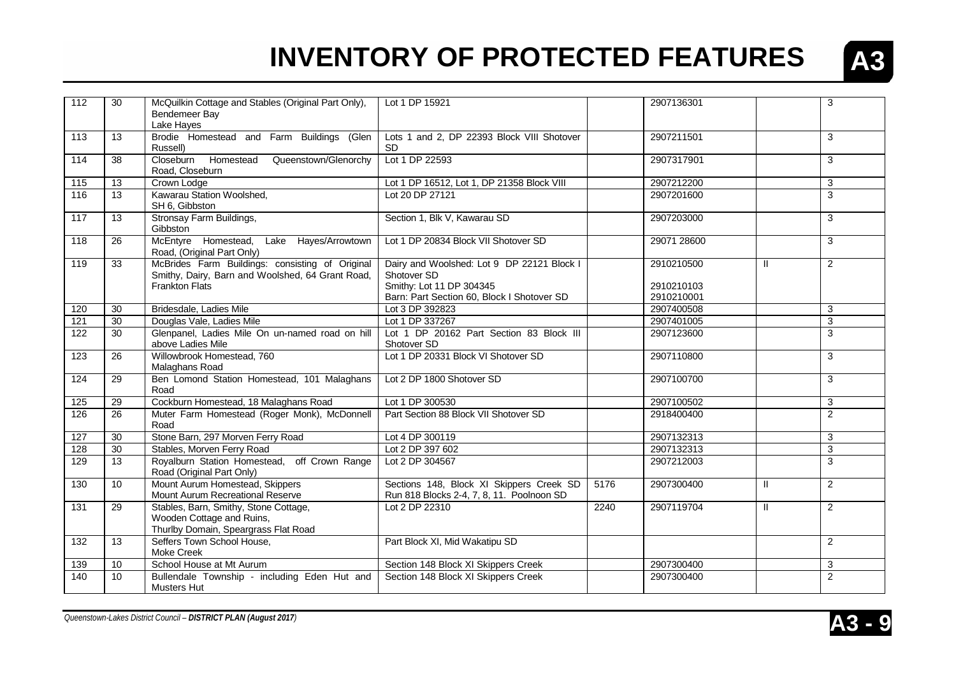

| 112               | 30              | McQuilkin Cottage and Stables (Original Part Only),<br>Bendemeer Bay<br>Lake Haves                         | Lot 1 DP 15921                                                                        |      | 2907136301  |               | 3              |
|-------------------|-----------------|------------------------------------------------------------------------------------------------------------|---------------------------------------------------------------------------------------|------|-------------|---------------|----------------|
| 113               | 13              | Brodie Homestead and Farm Buildings (Glen<br>Russell)                                                      | Lots 1 and 2, DP 22393 Block VIII Shotover<br>SD                                      |      | 2907211501  |               | 3              |
| 114               | 38              | Closeburn Homestead<br>Queenstown/Glenorchy<br>Road, Closeburn                                             | Lot 1 DP 22593                                                                        |      | 2907317901  |               | 3              |
| $\frac{115}{115}$ | $\overline{13}$ | Crown Lodge                                                                                                | Lot 1 DP 16512, Lot 1, DP 21358 Block VIII                                            |      | 2907212200  |               | 3              |
| 116               | 13              | Kawarau Station Woolshed,<br>SH 6, Gibbston                                                                | Lot 20 DP 27121                                                                       |      | 2907201600  |               | 3              |
| 117               | 13              | Stronsay Farm Buildings,<br>Gibbston                                                                       | Section 1, Blk V, Kawarau SD                                                          |      | 2907203000  |               | 3              |
| 118               | 26              | McEntyre Homestead, Lake Hayes/Arrowtown<br>Road, (Original Part Only)                                     | Lot 1 DP 20834 Block VII Shotover SD                                                  |      | 29071 28600 |               | 3              |
| 119               | 33              | McBrides Farm Buildings: consisting of Original<br>Smithy, Dairy, Barn and Woolshed, 64 Grant Road,        | Dairy and Woolshed: Lot 9 DP 22121 Block I<br>Shotover SD                             |      | 2910210500  | $\mathbf{H}$  | $\overline{2}$ |
|                   |                 | <b>Frankton Flats</b>                                                                                      | Smithy: Lot 11 DP 304345                                                              |      | 2910210103  |               |                |
|                   |                 |                                                                                                            | Barn: Part Section 60, Block I Shotover SD                                            |      | 2910210001  |               |                |
| 120               | 30              | Bridesdale, Ladies Mile                                                                                    | Lot 3 DP 392823                                                                       |      | 2907400508  |               | 3              |
| 121               | 30              | Douglas Vale, Ladies Mile                                                                                  | Lot 1 DP 337267                                                                       |      | 2907401005  |               | 3              |
| 122               | 30              | Glenpanel, Ladies Mile On un-named road on hill<br>above Ladies Mile                                       | Lot 1 DP 20162 Part Section 83 Block III<br>Shotover SD                               |      | 2907123600  |               | 3              |
| 123               | 26              | Willowbrook Homestead, 760<br>Malaghans Road                                                               | Lot 1 DP 20331 Block VI Shotover SD                                                   |      | 2907110800  |               | 3              |
| 124               | $\overline{29}$ | Ben Lomond Station Homestead, 101 Malaghans<br>Road                                                        | Lot 2 DP 1800 Shotover SD                                                             |      | 2907100700  |               | 3              |
| 125               | 29              | Cockburn Homestead, 18 Malaghans Road                                                                      | Lot 1 DP 300530                                                                       |      | 2907100502  |               | 3              |
| 126               | 26              | Muter Farm Homestead (Roger Monk), McDonnell<br>Road                                                       | Part Section 88 Block VII Shotover SD                                                 |      | 2918400400  |               | $\overline{2}$ |
| 127               | 30              | Stone Barn, 297 Morven Ferry Road                                                                          | Lot 4 DP 300119                                                                       |      | 2907132313  |               | 3              |
| 128               | 30              | Stables, Morven Ferry Road                                                                                 | Lot 2 DP 397 602                                                                      |      | 2907132313  |               | 3              |
| 129               | 13              | Royalburn Station Homestead, off Crown Range<br>Road (Original Part Only)                                  | Lot 2 DP 304567                                                                       |      | 2907212003  |               | 3              |
| 130               | 10              | Mount Aurum Homestead, Skippers<br>Mount Aurum Recreational Reserve                                        | Sections 148, Block XI Skippers Creek SD<br>Run 818 Blocks 2-4, 7, 8, 11. Poolnoon SD | 5176 | 2907300400  | $\mathbf{II}$ | $\overline{2}$ |
| 131               | 29              | Stables, Barn, Smithy, Stone Cottage,<br>Wooden Cottage and Ruins,<br>Thurlby Domain, Speargrass Flat Road | Lot 2 DP 22310                                                                        | 2240 | 2907119704  | $\mathbf{II}$ | $\overline{2}$ |
| 132               | 13              | Seffers Town School House,<br>Moke Creek                                                                   | Part Block XI, Mid Wakatipu SD                                                        |      |             |               | $\overline{2}$ |
| 139               | 10              | School House at Mt Aurum                                                                                   | Section 148 Block XI Skippers Creek                                                   |      | 2907300400  |               | 3              |
| 140               | 10              | Bullendale Township - including Eden Hut and<br><b>Musters Hut</b>                                         | Section 148 Block XI Skippers Creek                                                   |      | 2907300400  |               | $\overline{2}$ |

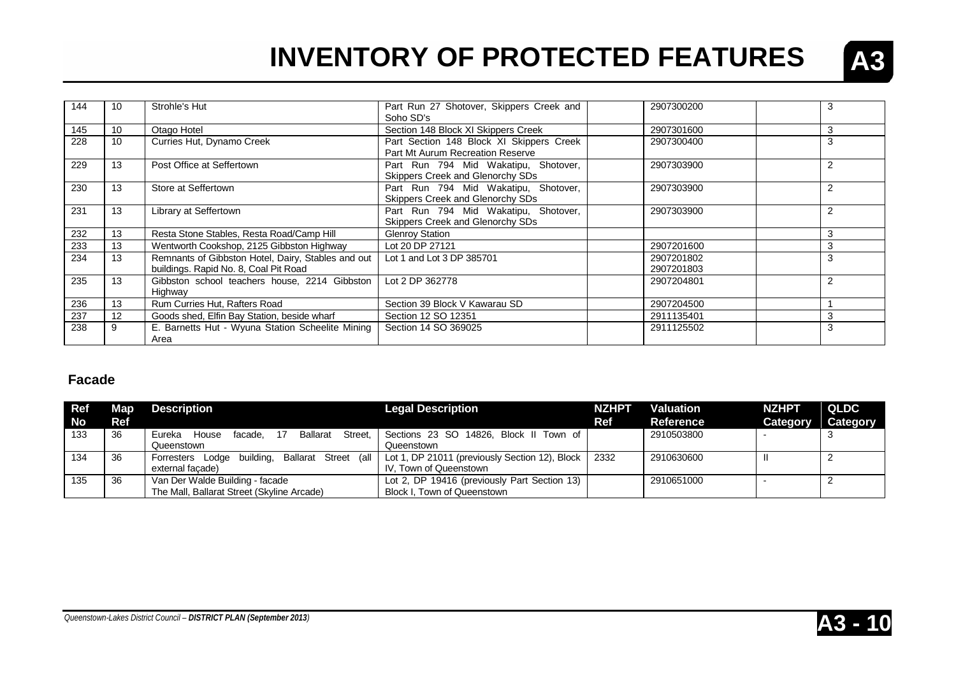

| 144 | 10 | Strohle's Hut                                                                               | Part Run 27 Shotover, Skippers Creek and<br>Soho SD's                        | 2907300200               |                |
|-----|----|---------------------------------------------------------------------------------------------|------------------------------------------------------------------------------|--------------------------|----------------|
| 145 | 10 | Otago Hotel                                                                                 | Section 148 Block XI Skippers Creek                                          | 2907301600               |                |
| 228 | 10 | Curries Hut, Dynamo Creek                                                                   | Part Section 148 Block XI Skippers Creek<br>Part Mt Aurum Recreation Reserve | 2907300400               | 3              |
| 229 | 13 | Post Office at Seffertown                                                                   | Part Run 794 Mid Wakatipu, Shotover,<br>Skippers Creek and Glenorchy SDs     | 2907303900               | 2              |
| 230 | 13 | Store at Seffertown                                                                         | Part Run 794 Mid Wakatipu, Shotover,<br>Skippers Creek and Glenorchy SDs     | 2907303900               | 2              |
| 231 | 13 | Library at Seffertown                                                                       | Part Run 794 Mid Wakatipu, Shotover,<br>Skippers Creek and Glenorchy SDs     | 2907303900               | $\overline{2}$ |
| 232 | 13 | Resta Stone Stables, Resta Road/Camp Hill                                                   | <b>Glenroy Station</b>                                                       |                          | 3              |
| 233 | 13 | Wentworth Cookshop, 2125 Gibbston Highway                                                   | Lot 20 DP 27121                                                              | 2907201600               | 3              |
| 234 | 13 | Remnants of Gibbston Hotel, Dairy, Stables and out<br>buildings. Rapid No. 8, Coal Pit Road | Lot 1 and Lot 3 DP 385701                                                    | 2907201802<br>2907201803 | 3              |
| 235 | 13 | Gibbston school teachers house, 2214 Gibbston<br>Highway                                    | Lot 2 DP 362778                                                              | 2907204801               | 2              |
| 236 | 13 | Rum Curries Hut, Rafters Road                                                               | Section 39 Block V Kawarau SD                                                | 2907204500               |                |
| 237 | 12 | Goods shed, Elfin Bay Station, beside wharf                                                 | Section 12 SO 12351                                                          | 2911135401               |                |
| 238 | 9  | E. Barnetts Hut - Wyuna Station Scheelite Mining<br>Area                                    | Section 14 SO 369025                                                         | 2911125502               | 3              |

#### **Facade**

| <b>Ref</b><br><b>No</b> | <b>Map</b><br>Ref | Description                                                                   | <b>Legal Description</b>                                                    | <b>NZHPT</b><br>Ref | <b>Valuation</b><br>Reference | <b>NZHPT</b><br>Category | <b>QLDC</b><br>Category |
|-------------------------|-------------------|-------------------------------------------------------------------------------|-----------------------------------------------------------------------------|---------------------|-------------------------------|--------------------------|-------------------------|
| 133                     | -36               | Eureka<br>Street.<br>Ballarat<br>House<br>facade.<br>Queenstown               | Sections 23 SO 14826, Block II Town of<br>Queenstown                        |                     | 2910503800                    |                          |                         |
| 134                     | 36                | Forresters Lodge building, Ballarat Street (all<br>external facade)           | Lot 1, DP 21011 (previously Section 12), Block  <br>IV. Town of Queenstown  | 2332                | 2910630600                    |                          |                         |
| 135                     | -36               | Van Der Walde Building - facade<br>The Mall, Ballarat Street (Skyline Arcade) | Lot 2, DP 19416 (previously Part Section 13)<br>Block I, Town of Queenstown |                     | 2910651000                    |                          |                         |

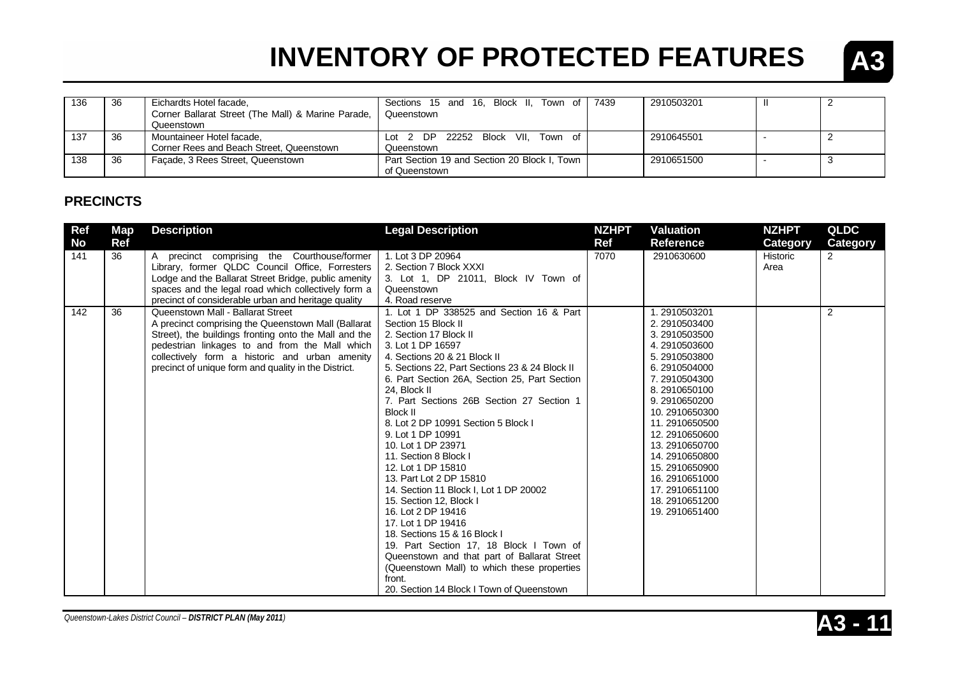

| 136 | 36  | Eichardts Hotel facade,<br>Corner Ballarat Street (The Mall) & Marine Parade,<br>Queenstown | Sections 15 and 16, Block II, Town of 7439<br>Queenstown      | 2910503201 |  |
|-----|-----|---------------------------------------------------------------------------------------------|---------------------------------------------------------------|------------|--|
| 137 | 36  | Mountaineer Hotel facade,<br>Corner Rees and Beach Street, Queenstown                       | Lot 2 DP 22252 Block VII. Town of<br>Queenstown               | 2910645501 |  |
| 138 | -36 | Facade, 3 Rees Street, Queenstown                                                           | Part Section 19 and Section 20 Block I, Town<br>of Queenstown | 2910651500 |  |

#### **PRECINCTS**

| <b>Ref</b><br><b>No</b> | Map<br>Ref | <b>Description</b>                                                                                                                                                                                                                                                                                                                                               | <b>Legal Description</b>                                                                                                                                                                                                                                                                                                                                                                                                                                                                                                                                                                                                                                                                                                                                             | <b>NZHPT</b><br>Ref | <b>Valuation</b><br>Reference                                                                                                                                                                                                                                                          | <b>NZHPT</b>                 | <b>QLDC</b><br>Category |
|-------------------------|------------|------------------------------------------------------------------------------------------------------------------------------------------------------------------------------------------------------------------------------------------------------------------------------------------------------------------------------------------------------------------|----------------------------------------------------------------------------------------------------------------------------------------------------------------------------------------------------------------------------------------------------------------------------------------------------------------------------------------------------------------------------------------------------------------------------------------------------------------------------------------------------------------------------------------------------------------------------------------------------------------------------------------------------------------------------------------------------------------------------------------------------------------------|---------------------|----------------------------------------------------------------------------------------------------------------------------------------------------------------------------------------------------------------------------------------------------------------------------------------|------------------------------|-------------------------|
| 141<br>142              | 36<br>36   | A precinct comprising the Courthouse/former<br>Library, former QLDC Council Office, Forresters<br>Lodge and the Ballarat Street Bridge, public amenity<br>spaces and the legal road which collectively form a<br>precinct of considerable urban and heritage quality<br>Queenstown Mall - Ballarat Street<br>A precinct comprising the Queenstown Mall (Ballarat | 1. Lot 3 DP 20964<br>2. Section 7 Block XXXI<br>3. Lot 1, DP 21011, Block IV Town of<br>Queenstown<br>4. Road reserve<br>1. Lot 1 DP 338525 and Section 16 & Part<br>Section 15 Block II                                                                                                                                                                                                                                                                                                                                                                                                                                                                                                                                                                             | 7070                | 2910630600<br>1.2910503201<br>2.2910503400                                                                                                                                                                                                                                             | Category<br>Historic<br>Area | $\overline{2}$<br>2     |
|                         |            | Street), the buildings fronting onto the Mall and the<br>pedestrian linkages to and from the Mall which<br>collectively form a historic and urban amenity<br>precinct of unique form and quality in the District.                                                                                                                                                | 2. Section 17 Block II<br>3. Lot 1 DP 16597<br>4. Sections 20 & 21 Block II<br>5. Sections 22, Part Sections 23 & 24 Block II<br>6. Part Section 26A, Section 25, Part Section<br>24, Block II<br>7. Part Sections 26B Section 27 Section 1<br>Block II<br>8. Lot 2 DP 10991 Section 5 Block I<br>9. Lot 1 DP 10991<br>10. Lot 1 DP 23971<br>11. Section 8 Block I<br>12. Lot 1 DP 15810<br>13. Part Lot 2 DP 15810<br>14. Section 11 Block I, Lot 1 DP 20002<br>15. Section 12. Block I<br>16. Lot 2 DP 19416<br>17. Lot 1 DP 19416<br>18. Sections 15 & 16 Block I<br>19. Part Section 17, 18 Block I Town of<br>Queenstown and that part of Ballarat Street<br>(Queenstown Mall) to which these properties<br>front.<br>20. Section 14 Block I Town of Queenstown |                     | 3.2910503500<br>4.2910503600<br>5.2910503800<br>6.2910504000<br>7.2910504300<br>8.2910650100<br>9.2910650200<br>10.2910650300<br>11.2910650500<br>12.2910650600<br>13.2910650700<br>14.2910650800<br>15.2910650900<br>16.2910651000<br>17.2910651100<br>18.2910651200<br>19.2910651400 |                              |                         |



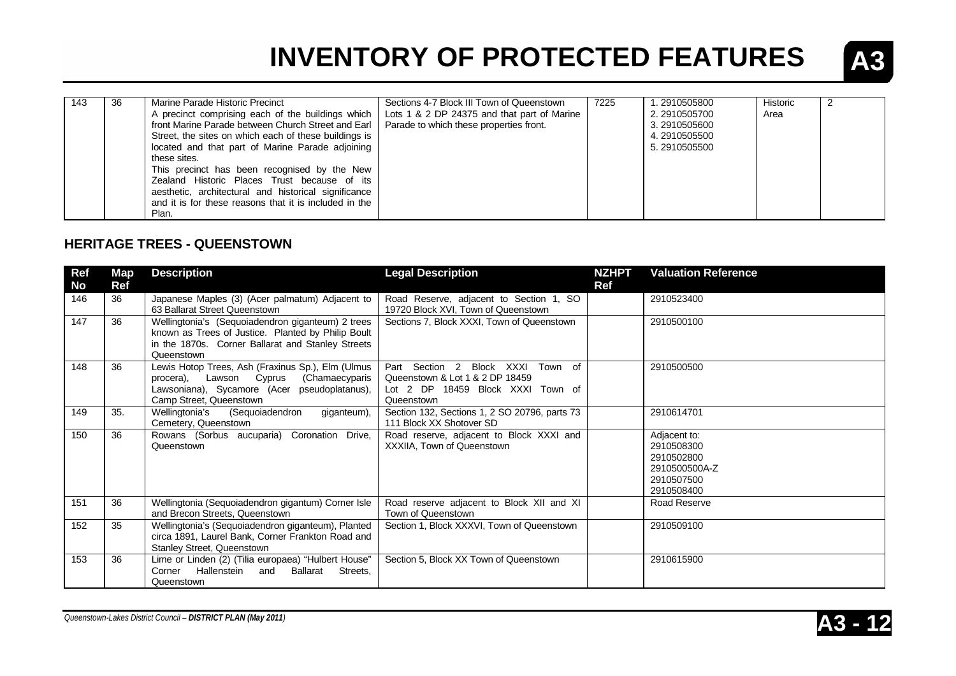

| 143 | 36 | Marine Parade Historic Precinct                        | Sections 4-7 Block III Town of Queenstown   | 7225 | 1.2910505800 | Historic | 2 |
|-----|----|--------------------------------------------------------|---------------------------------------------|------|--------------|----------|---|
|     |    | A precinct comprising each of the buildings which      | Lots 1 & 2 DP 24375 and that part of Marine |      | 2.2910505700 | Area     |   |
|     |    | front Marine Parade between Church Street and Earl     | Parade to which these properties front.     |      | 3.2910505600 |          |   |
|     |    | Street, the sites on which each of these buildings is  |                                             |      | 4.2910505500 |          |   |
|     |    | located and that part of Marine Parade adjoining       |                                             |      | 5.2910505500 |          |   |
|     |    | these sites.                                           |                                             |      |              |          |   |
|     |    | This precinct has been recognised by the New           |                                             |      |              |          |   |
|     |    | Zealand Historic Places Trust because of its           |                                             |      |              |          |   |
|     |    | aesthetic, architectural and historical significance   |                                             |      |              |          |   |
|     |    | and it is for these reasons that it is included in the |                                             |      |              |          |   |
|     |    | Plan.                                                  |                                             |      |              |          |   |

#### **HERITAGE TREES - QUEENSTOWN**

| Ref       | <b>Map</b> | <b>Description</b>                                                                                                                                                           | <b>Legal Description</b>                                                                                                   | <b>NZHPT</b> | <b>Valuation Reference</b>                                                            |
|-----------|------------|------------------------------------------------------------------------------------------------------------------------------------------------------------------------------|----------------------------------------------------------------------------------------------------------------------------|--------------|---------------------------------------------------------------------------------------|
| <b>No</b> | <b>Ref</b> |                                                                                                                                                                              |                                                                                                                            | Ref          |                                                                                       |
| 146       | 36         | Japanese Maples (3) (Acer palmatum) Adjacent to<br>63 Ballarat Street Queenstown                                                                                             | Road Reserve, adjacent to Section 1, SO<br>19720 Block XVI, Town of Queenstown                                             |              | 2910523400                                                                            |
| 147       | 36         | Wellingtonia's (Sequoiadendron giganteum) 2 trees<br>known as Trees of Justice. Planted by Philip Boult<br>in the 1870s. Corner Ballarat and Stanley Streets<br>Queenstown   | Sections 7, Block XXXI, Town of Queenstown                                                                                 |              | 2910500100                                                                            |
| 148       | 36         | Lewis Hotop Trees, Ash (Fraxinus Sp.), Elm (Ulmus<br>Lawson Cyprus<br>(Chamaecyparis<br>procera).<br>Lawsoniana), Sycamore (Acer pseudoplatanus),<br>Camp Street, Queenstown | Part Section 2 Block XXXI<br>Town of<br>Queenstown & Lot 1 & 2 DP 18459<br>Lot 2 DP 18459 Block XXXI Town of<br>Queenstown |              | 2910500500                                                                            |
| 149       | 35.        | Wellingtonia's<br>(Sequoiadendron<br>giganteum),<br>Cemetery, Queenstown                                                                                                     | Section 132, Sections 1, 2 SO 20796, parts 73<br>111 Block XX Shotover SD                                                  |              | 2910614701                                                                            |
| 150       | 36         | Rowans (Sorbus aucuparia) Coronation Drive,<br>Queenstown                                                                                                                    | Road reserve, adjacent to Block XXXI and<br>XXXIIA, Town of Queenstown                                                     |              | Adjacent to:<br>2910508300<br>2910502800<br>2910500500A-Z<br>2910507500<br>2910508400 |
| 151       | 36         | Wellingtonia (Sequoiadendron gigantum) Corner Isle<br>and Brecon Streets, Queenstown                                                                                         | Road reserve adjacent to Block XII and XI<br>Town of Queenstown                                                            |              | Road Reserve                                                                          |
| 152       | 35         | Wellingtonia's (Sequoiadendron giganteum), Planted<br>circa 1891, Laurel Bank, Corner Frankton Road and<br>Stanley Street, Queenstown                                        | Section 1, Block XXXVI, Town of Queenstown                                                                                 |              | 2910509100                                                                            |
| 153       | 36         | Lime or Linden (2) (Tilia europaea) "Hulbert House"<br>Hallenstein<br>Streets.<br>Corner<br>and<br>Ballarat<br>Queenstown                                                    | Section 5, Block XX Town of Queenstown                                                                                     |              | 2910615900                                                                            |

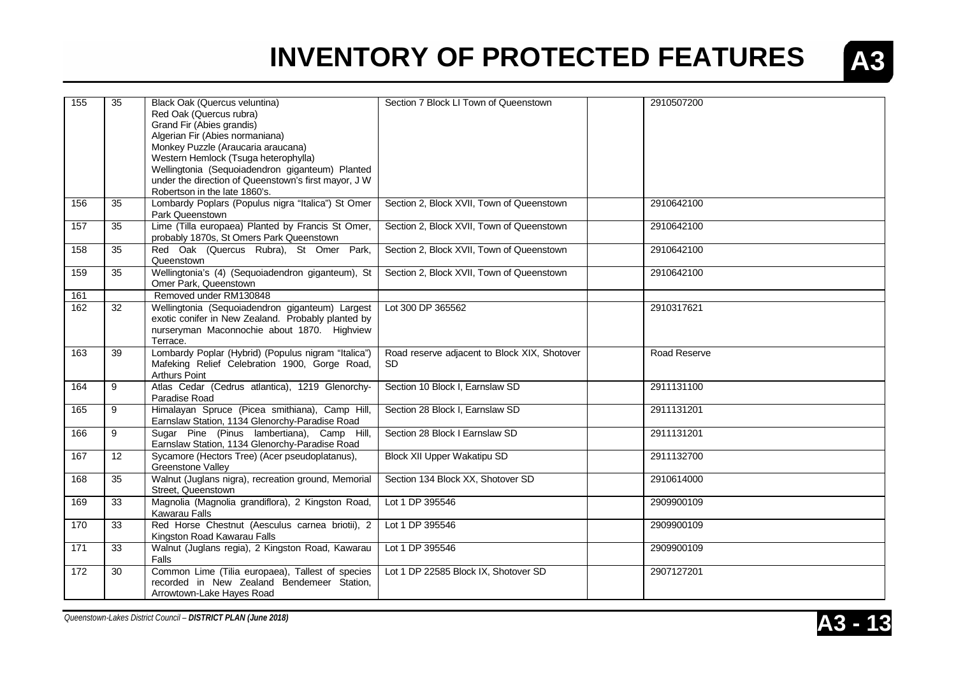

| $\overline{155}$ | 35              | Black Oak (Quercus veluntina)<br>Red Oak (Quercus rubra)<br>Grand Fir (Abies grandis)<br>Algerian Fir (Abies normaniana)<br>Monkey Puzzle (Araucaria araucana)<br>Western Hemlock (Tsuga heterophylla)<br>Wellingtonia (Sequoiadendron giganteum) Planted<br>under the direction of Queenstown's first mayor, J W<br>Robertson in the late 1860's. | Section 7 Block LI Town of Queenstown               | 2910507200   |
|------------------|-----------------|----------------------------------------------------------------------------------------------------------------------------------------------------------------------------------------------------------------------------------------------------------------------------------------------------------------------------------------------------|-----------------------------------------------------|--------------|
| 156              | 35              | Lombardy Poplars (Populus nigra "Italica") St Omer<br>Park Queenstown                                                                                                                                                                                                                                                                              | Section 2, Block XVII, Town of Queenstown           | 2910642100   |
| 157              | $\overline{35}$ | Lime (Tilla europaea) Planted by Francis St Omer,<br>probably 1870s, St Omers Park Queenstown                                                                                                                                                                                                                                                      | Section 2, Block XVII, Town of Queenstown           | 2910642100   |
| 158              | 35              | Red Oak (Quercus Rubra), St Omer Park,<br>Queenstown                                                                                                                                                                                                                                                                                               | Section 2, Block XVII, Town of Queenstown           | 2910642100   |
| 159              | 35              | Wellingtonia's (4) (Sequoiadendron giganteum), St<br>Omer Park, Queenstown                                                                                                                                                                                                                                                                         | Section 2, Block XVII, Town of Queenstown           | 2910642100   |
| 161              |                 | Removed under RM130848                                                                                                                                                                                                                                                                                                                             |                                                     |              |
| 162              | 32              | Wellingtonia (Sequoiadendron giganteum) Largest<br>exotic conifer in New Zealand. Probably planted by<br>nurseryman Maconnochie about 1870. Highview<br>Terrace.                                                                                                                                                                                   | Lot 300 DP 365562                                   | 2910317621   |
| 163              | 39              | Lombardy Poplar (Hybrid) (Populus nigram "Italica")<br>Mafeking Relief Celebration 1900, Gorge Road,<br><b>Arthurs Point</b>                                                                                                                                                                                                                       | Road reserve adjacent to Block XIX, Shotover<br>SD. | Road Reserve |
| 164              | 9               | Atlas Cedar (Cedrus atlantica), 1219 Glenorchy-<br>Paradise Road                                                                                                                                                                                                                                                                                   | Section 10 Block I, Earnslaw SD                     | 2911131100   |
| 165              | 9               | Himalayan Spruce (Picea smithiana), Camp Hill,<br>Earnslaw Station, 1134 Glenorchy-Paradise Road                                                                                                                                                                                                                                                   | Section 28 Block I, Earnslaw SD                     | 2911131201   |
| 166              | 9               | Sugar Pine (Pinus lambertiana), Camp Hill,<br>Earnslaw Station, 1134 Glenorchy-Paradise Road                                                                                                                                                                                                                                                       | Section 28 Block I Earnslaw SD                      | 2911131201   |
| 167              | 12              | Sycamore (Hectors Tree) (Acer pseudoplatanus),<br>Greenstone Valley                                                                                                                                                                                                                                                                                | Block XII Upper Wakatipu SD                         | 2911132700   |
| 168              | 35              | Walnut (Juglans nigra), recreation ground, Memorial<br>Street, Queenstown                                                                                                                                                                                                                                                                          | Section 134 Block XX, Shotover SD                   | 2910614000   |
| 169              | 33              | Magnolia (Magnolia grandiflora), 2 Kingston Road,<br>Kawarau Falls                                                                                                                                                                                                                                                                                 | Lot 1 DP 395546                                     | 2909900109   |
| 170              | $\overline{33}$ | Red Horse Chestnut (Aesculus carnea briotii), 2<br>Kingston Road Kawarau Falls                                                                                                                                                                                                                                                                     | Lot 1 DP 395546                                     | 2909900109   |
| 171              | $\overline{33}$ | Walnut (Juglans regia), 2 Kingston Road, Kawarau<br>Falls                                                                                                                                                                                                                                                                                          | Lot 1 DP 395546                                     | 2909900109   |
| 172              | 30              | Common Lime (Tilia europaea), Tallest of species<br>recorded in New Zealand Bendemeer Station,<br>Arrowtown-Lake Hayes Road                                                                                                                                                                                                                        | Lot 1 DP 22585 Block IX, Shotover SD                | 2907127201   |

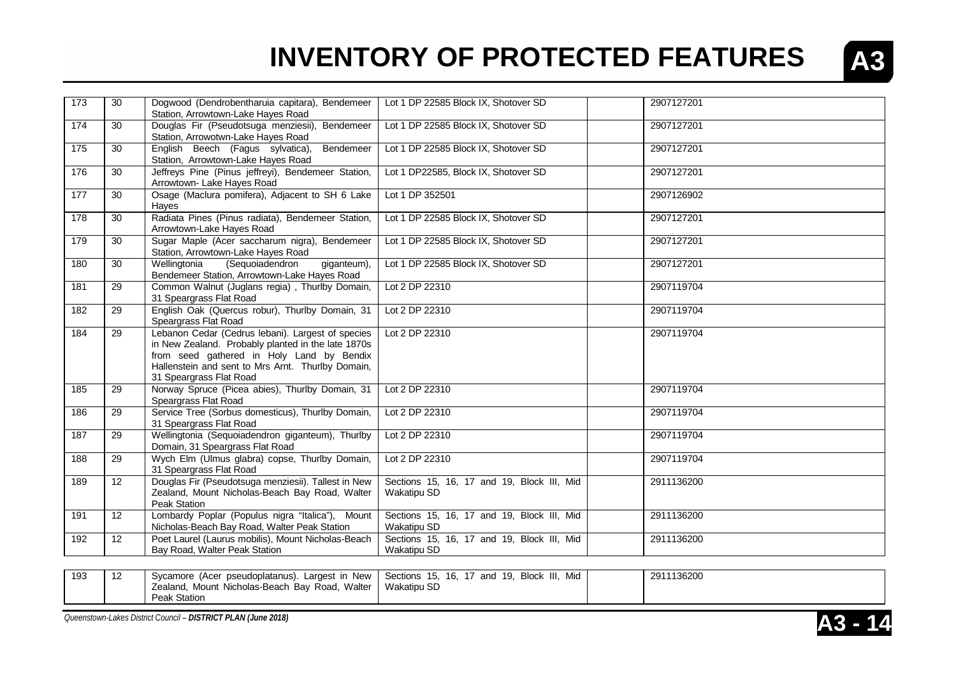

| 173 | 30              | Dogwood (Dendrobentharuia capitara), Bendemeer<br>Station, Arrowtown-Lake Hayes Road                                                                                                                                                 | Lot 1 DP 22585 Block IX, Shotover SD                             | 2907127201 |
|-----|-----------------|--------------------------------------------------------------------------------------------------------------------------------------------------------------------------------------------------------------------------------------|------------------------------------------------------------------|------------|
| 174 | 30              | Douglas Fir (Pseudotsuga menziesii), Bendemeer<br>Station, Arrowotwn-Lake Hayes Road                                                                                                                                                 | Lot 1 DP 22585 Block IX, Shotover SD                             | 2907127201 |
| 175 | 30              | English Beech (Fagus sylvatica),<br>Bendemeer<br>Station, Arrowtown-Lake Hayes Road                                                                                                                                                  | Lot 1 DP 22585 Block IX, Shotover SD                             | 2907127201 |
| 176 | 30              | Jeffreys Pine (Pinus jeffreyi), Bendemeer Station,<br>Arrowtown- Lake Hayes Road                                                                                                                                                     | Lot 1 DP22585, Block IX, Shotover SD                             | 2907127201 |
| 177 | 30              | Osage (Maclura pomifera), Adjacent to SH 6 Lake<br>Hayes                                                                                                                                                                             | Lot 1 DP 352501                                                  | 2907126902 |
| 178 | 30              | Radiata Pines (Pinus radiata), Bendemeer Station,<br>Arrowtown-Lake Hayes Road                                                                                                                                                       | Lot 1 DP 22585 Block IX, Shotover SD                             | 2907127201 |
| 179 | 30              | Sugar Maple (Acer saccharum nigra), Bendemeer<br>Station, Arrowtown-Lake Hayes Road                                                                                                                                                  | Lot 1 DP 22585 Block IX, Shotover SD                             | 2907127201 |
| 180 | 30              | Wellingtonia<br>(Sequoiadendron<br>giganteum),<br>Bendemeer Station, Arrowtown-Lake Hayes Road                                                                                                                                       | Lot 1 DP 22585 Block IX, Shotover SD                             | 2907127201 |
| 181 | 29              | Common Walnut (Juglans regia), Thurlby Domain,<br>31 Speargrass Flat Road                                                                                                                                                            | Lot 2 DP 22310                                                   | 2907119704 |
| 182 | 29              | English Oak (Quercus robur), Thurlby Domain, 31<br>Speargrass Flat Road                                                                                                                                                              | Lot 2 DP 22310                                                   | 2907119704 |
| 184 | 29              | Lebanon Cedar (Cedrus lebani). Largest of species<br>in New Zealand. Probably planted in the late 1870s<br>from seed gathered in Holy Land by Bendix<br>Hallenstein and sent to Mrs Arnt. Thurlby Domain,<br>31 Speargrass Flat Road | Lot 2 DP 22310                                                   | 2907119704 |
| 185 | 29              | Norway Spruce (Picea abies), Thurlby Domain, 31<br>Speargrass Flat Road                                                                                                                                                              | Lot 2 DP 22310                                                   | 2907119704 |
| 186 | 29              | Service Tree (Sorbus domesticus), Thurlby Domain,<br>31 Speargrass Flat Road                                                                                                                                                         | Lot 2 DP 22310                                                   | 2907119704 |
| 187 | 29              | Wellingtonia (Sequoiadendron giganteum), Thurlby<br>Domain, 31 Speargrass Flat Road                                                                                                                                                  | Lot 2 DP 22310                                                   | 2907119704 |
| 188 | 29              | Wych Elm (Ulmus glabra) copse, Thurlby Domain,<br>31 Speargrass Flat Road                                                                                                                                                            | Lot 2 DP 22310                                                   | 2907119704 |
| 189 | 12              | Douglas Fir (Pseudotsuga menziesii). Tallest in New<br>Zealand, Mount Nicholas-Beach Bay Road, Walter<br>Peak Station                                                                                                                | Sections 15, 16, 17 and 19, Block III, Mid<br>Wakatipu SD        | 2911136200 |
| 191 | 12 <sup>2</sup> | Lombardy Poplar (Populus nigra "Italica"), Mount<br>Nicholas-Beach Bay Road, Walter Peak Station                                                                                                                                     | Sections 15, 16, 17 and 19, Block III, Mid<br><b>Wakatipu SD</b> | 2911136200 |
| 192 | 12              | Poet Laurel (Laurus mobilis), Mount Nicholas-Beach<br>Bay Road, Walter Peak Station                                                                                                                                                  | Sections 15, 16, 17 and 19, Block III, Mid<br>Wakatipu SD        | 2911136200 |
|     |                 |                                                                                                                                                                                                                                      |                                                                  |            |

| 193 | $\overline{a}$<br>╶╹ | New<br>_argest_in<br>· pseudoplatanus).<br>Sycamore<br>(Acer | Mid<br><b>Bloci</b><br>10.<br>and<br>16.<br>Sections<br>, ت | 2911136200 |
|-----|----------------------|--------------------------------------------------------------|-------------------------------------------------------------|------------|
|     |                      | Walter<br>Zealand,<br>Mount Nicholas-Beach<br>Road,<br>Bav   | Wakatipu SD                                                 |            |
|     |                      | Peak Station                                                 |                                                             |            |

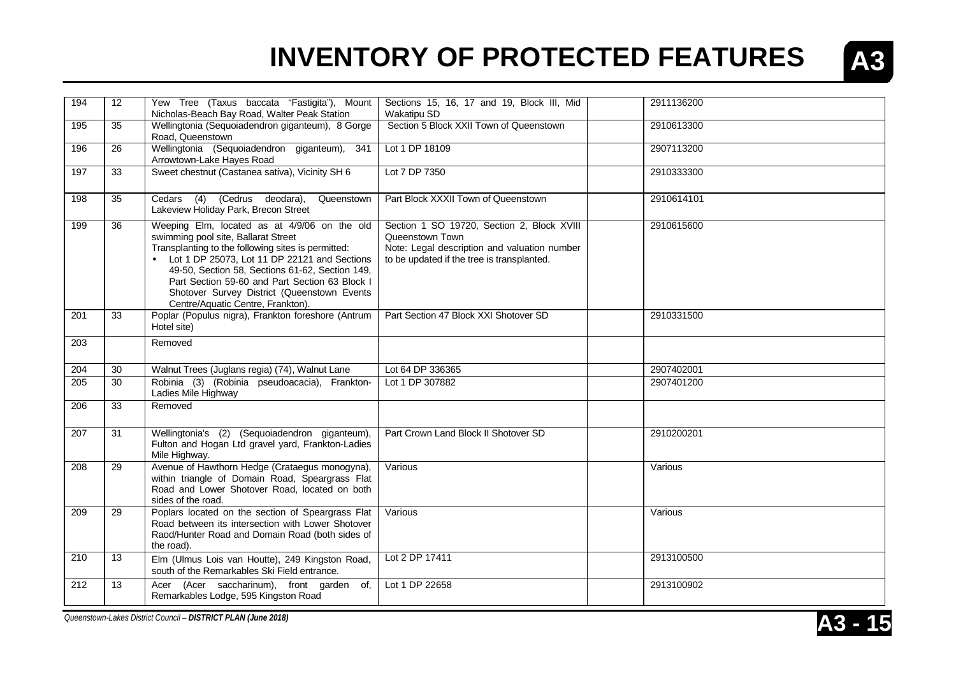

| 194 | 12 | Yew Tree (Taxus baccata "Fastigita"), Mount<br>Nicholas-Beach Bay Road, Walter Peak Station                                                                                                                                                                                                                                                                                          | Sections 15, 16, 17 and 19, Block III, Mid<br><b>Wakatipu SD</b>                                                                                            | 2911136200 |
|-----|----|--------------------------------------------------------------------------------------------------------------------------------------------------------------------------------------------------------------------------------------------------------------------------------------------------------------------------------------------------------------------------------------|-------------------------------------------------------------------------------------------------------------------------------------------------------------|------------|
| 195 | 35 | Wellingtonia (Sequoiadendron giganteum), 8 Gorge<br>Road, Queenstown                                                                                                                                                                                                                                                                                                                 | Section 5 Block XXII Town of Queenstown                                                                                                                     | 2910613300 |
| 196 | 26 | Wellingtonia (Sequoiadendron giganteum), 341<br>Arrowtown-Lake Hayes Road                                                                                                                                                                                                                                                                                                            | Lot 1 DP 18109                                                                                                                                              | 2907113200 |
| 197 | 33 | Sweet chestnut (Castanea sativa), Vicinity SH 6                                                                                                                                                                                                                                                                                                                                      | Lot 7 DP 7350                                                                                                                                               | 2910333300 |
| 198 | 35 | Cedars (4) (Cedrus deodara),<br>Queenstown<br>Lakeview Holiday Park, Brecon Street                                                                                                                                                                                                                                                                                                   | Part Block XXXII Town of Queenstown                                                                                                                         | 2910614101 |
| 199 | 36 | Weeping Elm, located as at 4/9/06 on the old<br>swimming pool site, Ballarat Street<br>Transplanting to the following sites is permitted:<br>• Lot 1 DP 25073, Lot 11 DP 22121 and Sections<br>49-50, Section 58, Sections 61-62, Section 149,<br>Part Section 59-60 and Part Section 63 Block I<br>Shotover Survey District (Queenstown Events<br>Centre/Aquatic Centre, Frankton). | Section 1 SO 19720, Section 2, Block XVIII<br>Queenstown Town<br>Note: Legal description and valuation number<br>to be updated if the tree is transplanted. | 2910615600 |
| 201 | 33 | Poplar (Populus nigra), Frankton foreshore (Antrum<br>Hotel site)                                                                                                                                                                                                                                                                                                                    | Part Section 47 Block XXI Shotover SD                                                                                                                       | 2910331500 |
| 203 |    | Removed                                                                                                                                                                                                                                                                                                                                                                              |                                                                                                                                                             |            |
| 204 | 30 | Walnut Trees (Juglans regia) (74), Walnut Lane                                                                                                                                                                                                                                                                                                                                       | Lot 64 DP 336365                                                                                                                                            | 2907402001 |
| 205 | 30 | Robinia (3) (Robinia pseudoacacia), Frankton-<br>Ladies Mile Highway                                                                                                                                                                                                                                                                                                                 | Lot 1 DP 307882                                                                                                                                             | 2907401200 |
| 206 | 33 | Removed                                                                                                                                                                                                                                                                                                                                                                              |                                                                                                                                                             |            |
| 207 | 31 | Wellingtonia's (2) (Sequoiadendron giganteum),<br>Fulton and Hogan Ltd gravel yard, Frankton-Ladies<br>Mile Highway.                                                                                                                                                                                                                                                                 | Part Crown Land Block II Shotover SD                                                                                                                        | 2910200201 |
| 208 | 29 | Avenue of Hawthorn Hedge (Crataegus monogyna),<br>within triangle of Domain Road, Speargrass Flat<br>Road and Lower Shotover Road, located on both<br>sides of the road.                                                                                                                                                                                                             | Various                                                                                                                                                     | Various    |
| 209 | 29 | Poplars located on the section of Speargrass Flat<br>Road between its intersection with Lower Shotover<br>Raod/Hunter Road and Domain Road (both sides of<br>the road).                                                                                                                                                                                                              | Various                                                                                                                                                     | Various    |
| 210 | 13 | Elm (Ulmus Lois van Houtte), 249 Kingston Road,<br>south of the Remarkables Ski Field entrance.                                                                                                                                                                                                                                                                                      | Lot 2 DP 17411                                                                                                                                              | 2913100500 |
| 212 | 13 | (Acer saccharinum), front garden of,<br>Acer<br>Remarkables Lodge, 595 Kingston Road                                                                                                                                                                                                                                                                                                 | Lot 1 DP 22658                                                                                                                                              | 2913100902 |
|     |    |                                                                                                                                                                                                                                                                                                                                                                                      |                                                                                                                                                             |            |

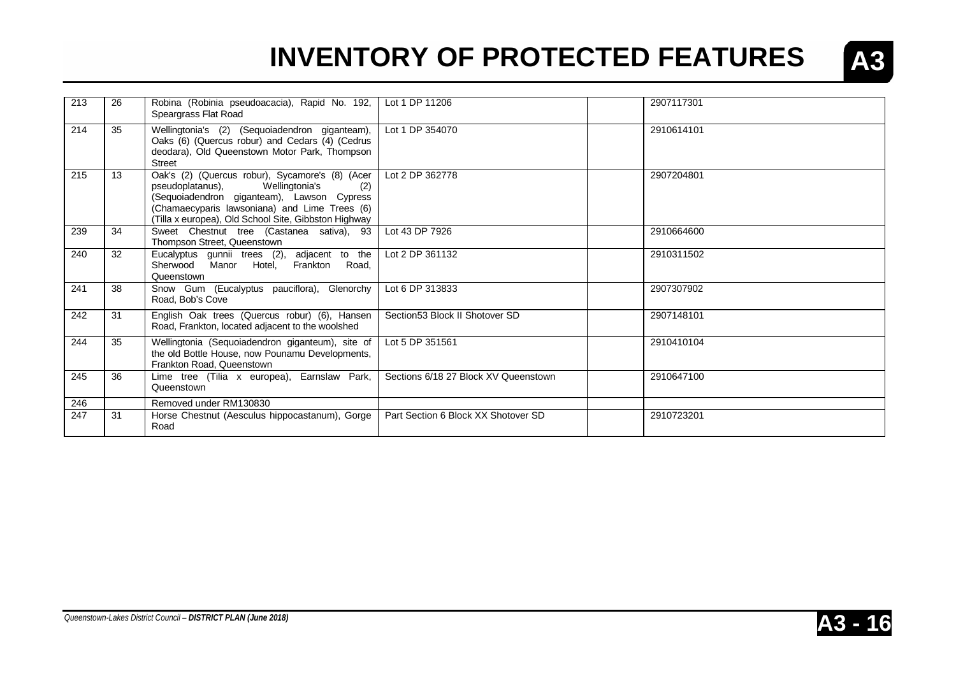

| 213 | 26 | Robina (Robinia pseudoacacia), Rapid No. 192,<br>Speargrass Flat Road                                                                                                                                                                               | Lot 1 DP 11206                       | 2907117301 |
|-----|----|-----------------------------------------------------------------------------------------------------------------------------------------------------------------------------------------------------------------------------------------------------|--------------------------------------|------------|
| 214 | 35 | Wellingtonia's (2) (Sequoiadendron giganteam),<br>Oaks (6) (Quercus robur) and Cedars (4) (Cedrus<br>deodara), Old Queenstown Motor Park, Thompson<br><b>Street</b>                                                                                 | Lot 1 DP 354070                      | 2910614101 |
| 215 | 13 | Oak's (2) (Quercus robur), Sycamore's (8) (Acer<br>Wellingtonia's<br>pseudoplatanus),<br>(2)<br>(Sequoiadendron giganteam), Lawson Cypress<br>(Chamaecyparis lawsoniana) and Lime Trees (6)<br>(Tilla x europea), Old School Site, Gibbston Highway | Lot 2 DP 362778                      | 2907204801 |
| 239 | 34 | Sweet Chestnut tree (Castanea sativa), 93<br>Thompson Street, Queenstown                                                                                                                                                                            | Lot 43 DP 7926                       | 2910664600 |
| 240 | 32 | Eucalyptus gunnii trees (2), adjacent to the<br>Sherwood Manor Hotel, Frankton Road,<br>Queenstown                                                                                                                                                  | Lot 2 DP 361132                      | 2910311502 |
| 241 | 38 | Snow Gum (Eucalyptus pauciflora), Glenorchy<br>Road, Bob's Cove                                                                                                                                                                                     | Lot 6 DP 313833                      | 2907307902 |
| 242 | 31 | English Oak trees (Quercus robur) (6), Hansen<br>Road, Frankton, located adjacent to the woolshed                                                                                                                                                   | Section 53 Block II Shotover SD      | 2907148101 |
| 244 | 35 | Wellingtonia (Sequoiadendron giganteum), site of<br>the old Bottle House, now Pounamu Developments,<br>Frankton Road, Queenstown                                                                                                                    | Lot 5 DP 351561                      | 2910410104 |
| 245 | 36 | Lime tree (Tilia x europea), Earnslaw Park,<br>Queenstown                                                                                                                                                                                           | Sections 6/18 27 Block XV Queenstown | 2910647100 |
| 246 |    | Removed under RM130830                                                                                                                                                                                                                              |                                      |            |
| 247 | 31 | Horse Chestnut (Aesculus hippocastanum), Gorge<br>Road                                                                                                                                                                                              | Part Section 6 Block XX Shotover SD  | 2910723201 |

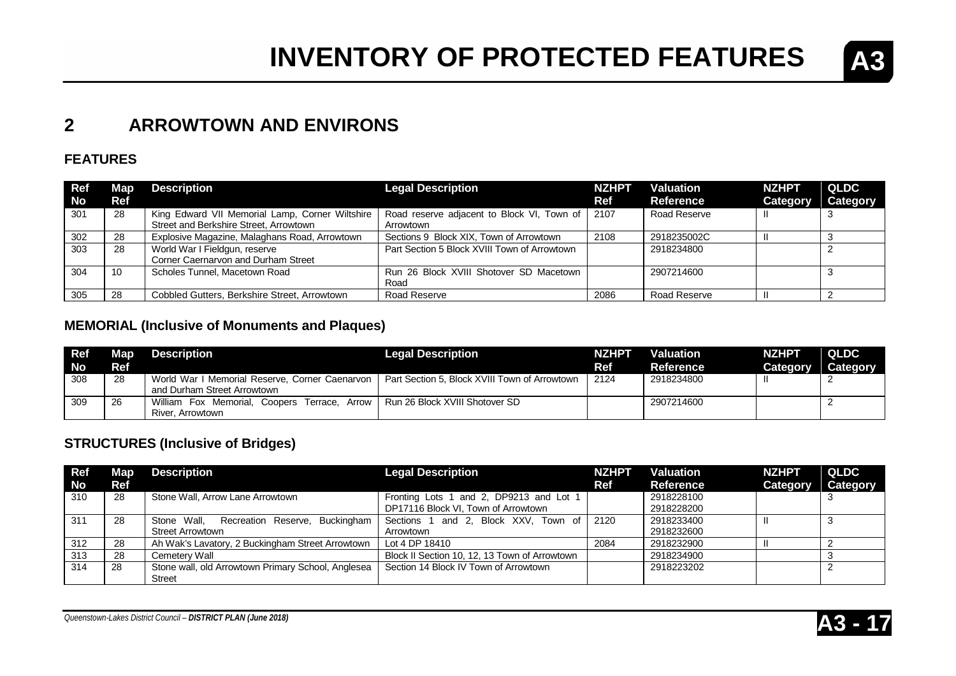

### **2 ARROWTOWN AND ENVIRONS**

#### **FEATURES**

| <b>Ref</b><br><b>No</b> | Map<br><b>Ref</b> | <b>Description</b>                              | <b>Legal Description</b>                        | <b>NZHPT</b><br>Ref | <b>Valuation</b><br>Reference | <b>NZHPT</b><br>Category | QLDC<br>Category |
|-------------------------|-------------------|-------------------------------------------------|-------------------------------------------------|---------------------|-------------------------------|--------------------------|------------------|
| 301                     | -28               | King Edward VII Memorial Lamp, Corner Wiltshire | Road reserve adjacent to Block VI, Town of 2107 |                     | Road Reserve                  |                          |                  |
|                         |                   | Street and Berkshire Street, Arrowtown          | Arrowtown                                       |                     |                               |                          |                  |
| 302                     | 28                | Explosive Magazine, Malaghans Road, Arrowtown   | Sections 9 Block XIX, Town of Arrowtown         | 2108                | 2918235002C                   |                          |                  |
| 303                     | 28                | World War I Fieldgun, reserve                   | Part Section 5 Block XVIII Town of Arrowtown    |                     | 2918234800                    |                          |                  |
|                         |                   | Corner Caernarvon and Durham Street             |                                                 |                     |                               |                          |                  |
| 304                     | 10                | Scholes Tunnel, Macetown Road                   | Run 26 Block XVIII Shotover SD Macetown         |                     | 2907214600                    |                          |                  |
|                         |                   |                                                 | Road                                            |                     |                               |                          |                  |
| 305                     | 28                | Cobbled Gutters, Berkshire Street, Arrowtown    | Road Reserve                                    | 2086                | Road Reserve                  | Ħ                        |                  |

### **MEMORIAL (Inclusive of Monuments and Plaques)**

| <b>Ref</b><br>No | Map<br>Ref | <b>Description</b>                                                                                | <b>Legal Description</b>                      | <b>NZHPT</b><br>Ref | Valuation<br><b>Reference</b> | <b>NZHPT</b><br><b>Category</b> | <b>QLDC</b><br>Category |
|------------------|------------|---------------------------------------------------------------------------------------------------|-----------------------------------------------|---------------------|-------------------------------|---------------------------------|-------------------------|
| 308              | 28         | World War I Memorial Reserve, Corner Caenarvon  <br>and Durham Street Arrowtown                   | Part Section 5, Block XVIII Town of Arrowtown | 2124                | 2918234800                    |                                 |                         |
| 309              | 26         | William Fox Memorial, Coopers Terrace, Arrow   Run 26 Block XVIII Shotover SD<br>River. Arrowtown |                                               |                     | 2907214600                    |                                 |                         |

### **STRUCTURES (Inclusive of Bridges)**

| <b>Ref</b> | Map | <b>Description</b>                                 | <b>Legal Description</b>                      | <b>NZHPT</b> | Valuation  | <b>NZHPT</b> | QLDC     |
|------------|-----|----------------------------------------------------|-----------------------------------------------|--------------|------------|--------------|----------|
| <b>No</b>  | Ref |                                                    |                                               | <b>Ref</b>   | Reference  | Category     | Category |
| 310        | 28  | Stone Wall, Arrow Lane Arrowtown                   | Fronting Lots 1 and 2, DP9213 and Lot 1       |              | 2918228100 |              |          |
|            |     |                                                    | DP17116 Block VI, Town of Arrowtown           |              | 2918228200 |              |          |
| 311        | 28  | Recreation Reserve, Buckingham<br>Stone Wall.      | Sections 1 and 2. Block XXV. Town of 2120     |              | 2918233400 |              |          |
|            |     | <b>Street Arrowtown</b>                            | Arrowtown                                     |              | 2918232600 |              |          |
| 312        | 28  | Ah Wak's Lavatory, 2 Buckingham Street Arrowtown   | Lot 4 DP 18410                                | 2084         | 2918232900 |              |          |
| 313        | 28  | Cemetery Wall                                      | Block II Section 10, 12, 13 Town of Arrowtown |              | 2918234900 |              |          |
| 314        | 28  | Stone wall, old Arrowtown Primary School, Anglesea | Section 14 Block IV Town of Arrowtown         |              | 2918223202 |              |          |
|            |     | <b>Street</b>                                      |                                               |              |            |              |          |

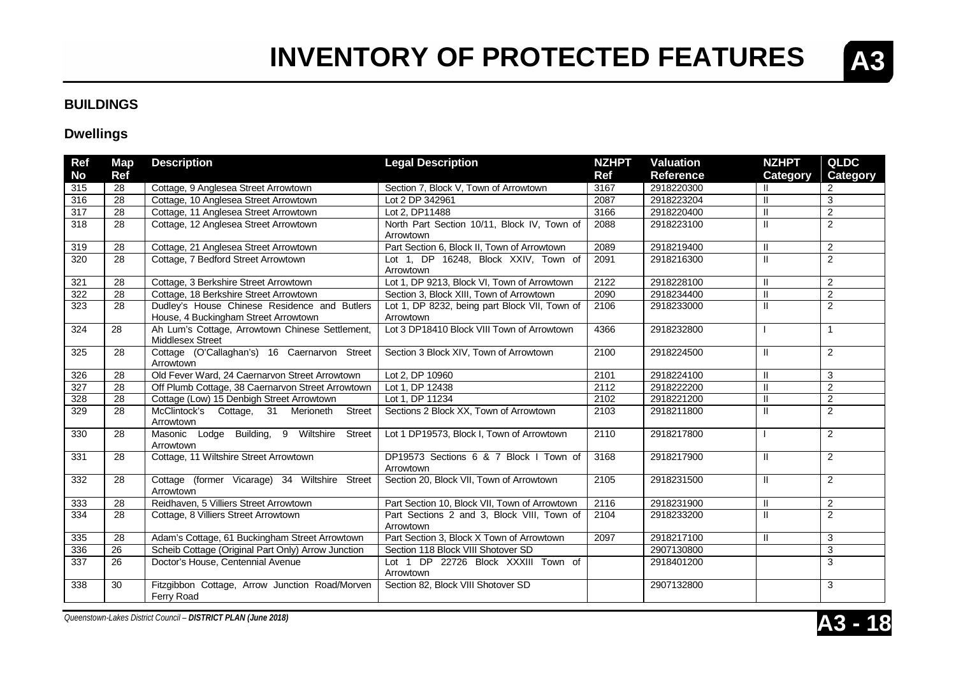#### **BUILDINGS**

#### **Dwellings**

| Ref       | Map             | <b>Description</b>                                                                   | <b>Legal Description</b>                                   | <b>NZHPT</b> | <b>Valuation</b> | <b>NZHPT</b>  | <b>QLDC</b>     |
|-----------|-----------------|--------------------------------------------------------------------------------------|------------------------------------------------------------|--------------|------------------|---------------|-----------------|
| <b>No</b> | <b>Ref</b>      |                                                                                      |                                                            | <b>Ref</b>   | <b>Reference</b> | Category      | <b>Category</b> |
| 315       | 28              | Cottage, 9 Anglesea Street Arrowtown                                                 | Section 7, Block V, Town of Arrowtown                      | 3167         | 2918220300       | Ш             | $\overline{c}$  |
| 316       | 28              | Cottage, 10 Anglesea Street Arrowtown                                                | Lot 2 DP 342961                                            | 2087         | 2918223204       | $\mathbf{H}$  | 3               |
| 317       | 28              | Cottage, 11 Anglesea Street Arrowtown                                                | Lot 2, DP11488                                             | 3166         | 2918220400       | $\mathbf{II}$ | $\overline{2}$  |
| 318       | 28              | Cottage, 12 Anglesea Street Arrowtown                                                | North Part Section 10/11, Block IV, Town of                | 2088         | 2918223100       | $\mathbf{H}$  | $\overline{2}$  |
|           |                 |                                                                                      | Arrowtown                                                  |              |                  |               |                 |
| 319       | 28              | Cottage, 21 Anglesea Street Arrowtown                                                | Part Section 6, Block II, Town of Arrowtown                | 2089         | 2918219400       | $\mathbf{H}$  | $\overline{2}$  |
| 320       | 28              | Cottage, 7 Bedford Street Arrowtown                                                  | Lot 1, DP 16248, Block XXIV, Town of<br>Arrowtown          | 2091         | 2918216300       | $\mathbf{H}$  | $\overline{2}$  |
| 321       | 28              | Cottage, 3 Berkshire Street Arrowtown                                                | Lot 1, DP 9213, Block VI, Town of Arrowtown                | 2122         | 2918228100       | Ш             | $\overline{2}$  |
| 322       | 28              | Cottage, 18 Berkshire Street Arrowtown                                               | Section 3, Block XIII, Town of Arrowtown                   | 2090         | 2918234400       | $\mathbf{H}$  | $\overline{2}$  |
| 323       | 28              | Dudley's House Chinese Residence and Butlers<br>House, 4 Buckingham Street Arrowtown | Lot 1, DP 8232, being part Block VII, Town of<br>Arrowtown | 2106         | 2918233000       | $\mathbf{I}$  | $\overline{2}$  |
| 324       | 28              | Ah Lum's Cottage, Arrowtown Chinese Settlement,<br>Middlesex Street                  | Lot 3 DP18410 Block VIII Town of Arrowtown                 | 4366         | 2918232800       |               | 1               |
| 325       | 28              | Cottage (O'Callaghan's) 16 Caernarvon Street<br>Arrowtown                            | Section 3 Block XIV, Town of Arrowtown                     | 2100         | 2918224500       | $\mathbf{H}$  | 2               |
| 326       | 28              | Old Fever Ward, 24 Caernarvon Street Arrowtown                                       | Lot 2, DP 10960                                            | 2101         | 2918224100       | $\mathbf{H}$  | 3               |
| 327       | 28              | Off Plumb Cottage, 38 Caernarvon Street Arrowtown                                    | Lot 1, DP 12438                                            | 2112         | 2918222200       | $\mathbf{H}$  | $\overline{2}$  |
| 328       | 28              | Cottage (Low) 15 Denbigh Street Arrowtown                                            | Lot 1. DP 11234                                            | 2102         | 2918221200       | $\mathbf{H}$  | $\overline{2}$  |
| 329       | 28              | McClintock's Cottage, 31 Merioneth<br><b>Street</b><br>Arrowtown                     | Sections 2 Block XX, Town of Arrowtown                     | 2103         | 2918211800       | $\mathbf{H}$  | 2               |
| 330       | 28              | Masonic Lodge Building, 9 Wiltshire Street<br>Arrowtown                              | Lot 1 DP19573, Block I, Town of Arrowtown                  | 2110         | 2918217800       |               | $\overline{2}$  |
| 331       | 28              | Cottage, 11 Wiltshire Street Arrowtown                                               | DP19573 Sections 6 & 7 Block I Town of<br>Arrowtown        | 3168         | 2918217900       | $\mathbf{H}$  | $\overline{2}$  |
| 332       | 28              | Cottage (former Vicarage) 34 Wiltshire Street<br>Arrowtown                           | Section 20, Block VII, Town of Arrowtown                   | 2105         | 2918231500       | $\mathbf{I}$  | 2               |
| 333       | 28              | Reidhaven, 5 Villiers Street Arrowtown                                               | Part Section 10, Block VII, Town of Arrowtown              | 2116         | 2918231900       | $\mathbf{H}$  | $\overline{2}$  |
| 334       | 28              | Cottage, 8 Villiers Street Arrowtown                                                 | Part Sections 2 and 3, Block VIII, Town of<br>Arrowtown    | 2104         | 2918233200       | $\mathbf{H}$  | $\overline{2}$  |
| 335       | 28              | Adam's Cottage, 61 Buckingham Street Arrowtown                                       | Part Section 3, Block X Town of Arrowtown                  | 2097         | 2918217100       | $\mathbf{H}$  | 3               |
| 336       | $\overline{26}$ | Scheib Cottage (Original Part Only) Arrow Junction                                   | Section 118 Block VIII Shotover SD                         |              | 2907130800       |               | 3               |
| 337       | 26              | Doctor's House, Centennial Avenue                                                    | Lot 1 DP 22726 Block XXXIII Town of<br>Arrowtown           |              | 2918401200       |               | 3               |
| 338       | 30              | Fitzgibbon Cottage, Arrow Junction Road/Morven<br>Ferry Road                         | Section 82, Block VIII Shotover SD                         |              | 2907132800       |               | 3               |



**A3**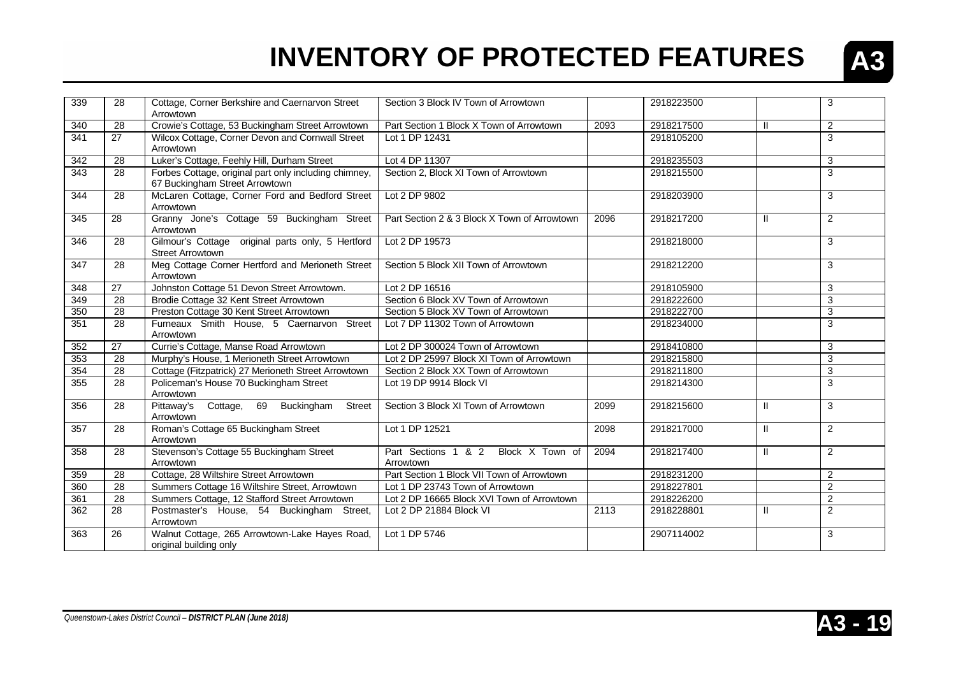

| 339 | 28              | Cottage, Corner Berkshire and Caernarvon Street<br>Arrowtown                            | Section 3 Block IV Town of Arrowtown             |      | 2918223500 |               | 3              |
|-----|-----------------|-----------------------------------------------------------------------------------------|--------------------------------------------------|------|------------|---------------|----------------|
| 340 | 28              | Crowie's Cottage, 53 Buckingham Street Arrowtown                                        | Part Section 1 Block X Town of Arrowtown         | 2093 | 2918217500 | H             | $\overline{2}$ |
| 341 | 27              | Wilcox Cottage, Corner Devon and Cornwall Street<br>Arrowtown                           | Lot 1 DP 12431                                   |      | 2918105200 |               | 3              |
| 342 | 28              | Luker's Cottage, Feehly Hill, Durham Street                                             | Lot 4 DP 11307                                   |      | 2918235503 |               | 3              |
| 343 | 28              | Forbes Cottage, original part only including chimney,<br>67 Buckingham Street Arrowtown | Section 2, Block XI Town of Arrowtown            |      | 2918215500 |               | 3              |
| 344 | 28              | McLaren Cottage, Corner Ford and Bedford Street<br>Arrowtown                            | Lot 2 DP 9802                                    |      | 2918203900 |               | 3              |
| 345 | 28              | Granny Jone's Cottage 59 Buckingham Street<br>Arrowtown                                 | Part Section 2 & 3 Block X Town of Arrowtown     | 2096 | 2918217200 | $\mathbf{I}$  | $\overline{2}$ |
| 346 | 28              | Gilmour's Cottage original parts only, 5 Hertford<br><b>Street Arrowtown</b>            | Lot 2 DP 19573                                   |      | 2918218000 |               | 3              |
| 347 | 28              | Meg Cottage Corner Hertford and Merioneth Street<br>Arrowtown                           | Section 5 Block XII Town of Arrowtown            |      | 2918212200 |               | 3              |
| 348 | 27              | Johnston Cottage 51 Devon Street Arrowtown.                                             | Lot 2 DP 16516                                   |      | 2918105900 |               | 3              |
| 349 | 28              | Brodie Cottage 32 Kent Street Arrowtown                                                 | Section 6 Block XV Town of Arrowtown             |      | 2918222600 |               | 3              |
| 350 | 28              | Preston Cottage 30 Kent Street Arrowtown                                                | Section 5 Block XV Town of Arrowtown             |      | 2918222700 |               | 3              |
| 351 | 28              | Furneaux Smith House, 5 Caernarvon Street<br>Arrowtown                                  | Lot 7 DP 11302 Town of Arrowtown                 |      | 2918234000 |               | 3              |
| 352 | 27              | Currie's Cottage, Manse Road Arrowtown                                                  | Lot 2 DP 300024 Town of Arrowtown                |      | 2918410800 |               | 3              |
| 353 | 28              | Murphy's House, 1 Merioneth Street Arrowtown                                            | Lot 2 DP 25997 Block XI Town of Arrowtown        |      | 2918215800 |               | 3              |
| 354 | 28              | Cottage (Fitzpatrick) 27 Merioneth Street Arrowtown                                     | Section 2 Block XX Town of Arrowtown             |      | 2918211800 |               | 3              |
| 355 | 28              | Policeman's House 70 Buckingham Street<br>Arrowtown                                     | Lot 19 DP 9914 Block VI                          |      | 2918214300 |               | 3              |
| 356 | 28              | Pittaway's Cottage, 69 Buckingham Street<br>Arrowtown                                   | Section 3 Block XI Town of Arrowtown             | 2099 | 2918215600 | $\mathbf{I}$  | 3              |
| 357 | 28              | Roman's Cottage 65 Buckingham Street<br>Arrowtown                                       | Lot 1 DP 12521                                   | 2098 | 2918217000 | $\mathbf{H}$  | $\overline{2}$ |
| 358 | 28              | Stevenson's Cottage 55 Buckingham Street<br>Arrowtown                                   | Part Sections 1 & 2 Block X Town of<br>Arrowtown | 2094 | 2918217400 | $\mathbf{II}$ | 2              |
| 359 | 28              | Cottage, 28 Wiltshire Street Arrowtown                                                  | Part Section 1 Block VII Town of Arrowtown       |      | 2918231200 |               | 2              |
| 360 | 28              | Summers Cottage 16 Wiltshire Street, Arrowtown                                          | Lot 1 DP 23743 Town of Arrowtown                 |      | 2918227801 |               | $\overline{2}$ |
| 361 | $\overline{28}$ | Summers Cottage, 12 Stafford Street Arrowtown                                           | Lot 2 DP 16665 Block XVI Town of Arrowtown       |      | 2918226200 |               | $\overline{c}$ |
| 362 | 28              | Postmaster's House, 54 Buckingham Street,<br>Arrowtown                                  | Lot 2 DP 21884 Block VI                          | 2113 | 2918228801 | $\mathbf{I}$  | $\overline{2}$ |
| 363 | 26              | Walnut Cottage, 265 Arrowtown-Lake Hayes Road,<br>original building only                | Lot 1 DP 5746                                    |      | 2907114002 |               | 3              |

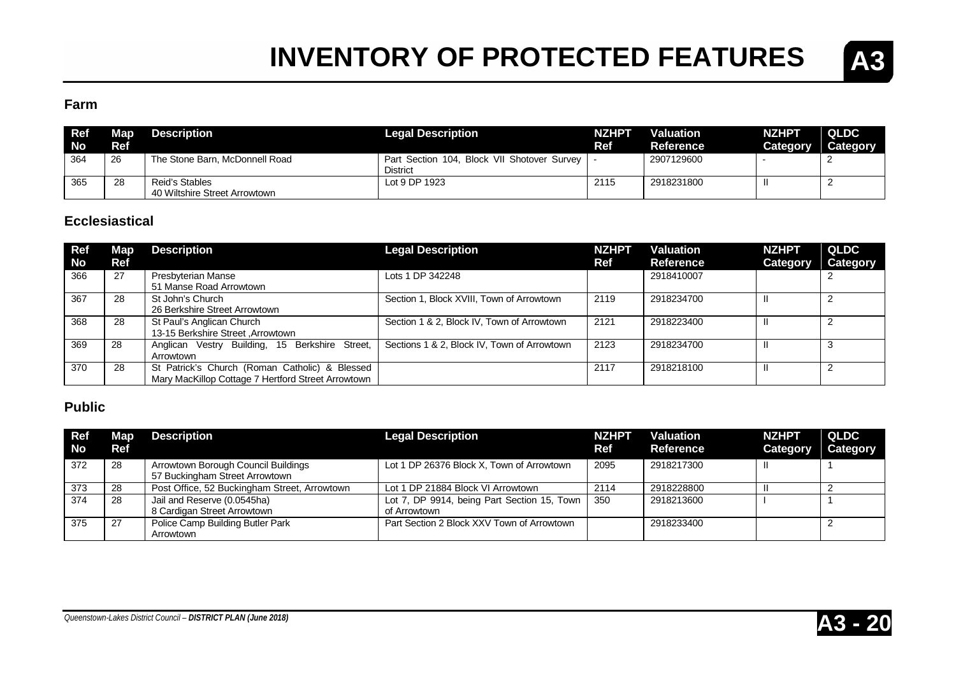

### **Farm**

| <b>Ref</b><br><b>No</b> | Map<br>Ref | <b>Description</b>                              | <b>Legal Description</b>                                       | <b>NZHPT</b><br>Ref | <b>Valuation</b><br>Reference | <b>NZHPT</b><br><b>Category</b> | <b>QLDC</b><br>Category |
|-------------------------|------------|-------------------------------------------------|----------------------------------------------------------------|---------------------|-------------------------------|---------------------------------|-------------------------|
| 364                     | -26        | The Stone Barn, McDonnell Road                  | Part Section 104, Block VII Shotover Survey<br><b>District</b> |                     | 2907129600                    |                                 |                         |
| 365                     | -28        | Reid's Stables<br>40 Wiltshire Street Arrowtown | Lot 9 DP 1923                                                  | 2115                | 2918231800                    |                                 |                         |

#### **Ecclesiastical**

| <b>Ref</b><br><b>No</b> | Map<br>Ref | <b>Description</b>                                                                                   | <b>Legal Description</b>                    | <b>NZHPT</b><br>Ref | <b>Valuation</b><br><b>Reference</b> | <b>NZHPT</b><br><b>Category</b> | QLDC<br>Category |
|-------------------------|------------|------------------------------------------------------------------------------------------------------|---------------------------------------------|---------------------|--------------------------------------|---------------------------------|------------------|
| 366                     | 27         | Presbyterian Manse<br>51 Manse Road Arrowtown                                                        | Lots 1 DP 342248                            |                     | 2918410007                           |                                 |                  |
| 367                     | 28         | St John's Church<br>26 Berkshire Street Arrowtown                                                    | Section 1, Block XVIII, Town of Arrowtown   | 2119                | 2918234700                           |                                 |                  |
| 368                     | 28         | St Paul's Anglican Church<br>13-15 Berkshire Street , Arrowtown                                      | Section 1 & 2, Block IV, Town of Arrowtown  | 2121                | 2918223400                           |                                 |                  |
| 369                     | 28         | Anglican Vestry Building, 15 Berkshire Street,<br>Arrowtown                                          | Sections 1 & 2, Block IV, Town of Arrowtown | 2123                | 2918234700                           |                                 |                  |
| 370                     | 28         | St Patrick's Church (Roman Catholic) & Blessed<br>Mary MacKillop Cottage 7 Hertford Street Arrowtown |                                             | 2117                | 2918218100                           | Ш                               |                  |

#### **Public**

| <b>Ref</b><br><b>No</b> | Map <sub>1</sub><br>Ref | <b>Description</b>                                                    | <b>Legal Description</b>                                    | <b>NZHPT</b><br>Ref | <b>Valuation</b><br>Reference | <b>NZHPT</b><br>Category | QLDC<br>Category |
|-------------------------|-------------------------|-----------------------------------------------------------------------|-------------------------------------------------------------|---------------------|-------------------------------|--------------------------|------------------|
| 372                     | 28                      | Arrowtown Borough Council Buildings<br>57 Buckingham Street Arrowtown | Lot 1 DP 26376 Block X, Town of Arrowtown                   | 2095                | 2918217300                    |                          |                  |
| 373                     | 28                      | Post Office, 52 Buckingham Street, Arrowtown                          | Lot 1 DP 21884 Block VI Arrowtown                           | 2114                | 2918228800                    | $\mathbf{I}$             |                  |
| 374                     | 28                      | Jail and Reserve (0.0545ha)<br>8 Cardigan Street Arrowtown            | Lot 7, DP 9914, being Part Section 15, Town<br>of Arrowtown | 350                 | 2918213600                    |                          |                  |
| 375                     | 27                      | Police Camp Building Butler Park<br>Arrowtown                         | Part Section 2 Block XXV Town of Arrowtown                  |                     | 2918233400                    |                          |                  |



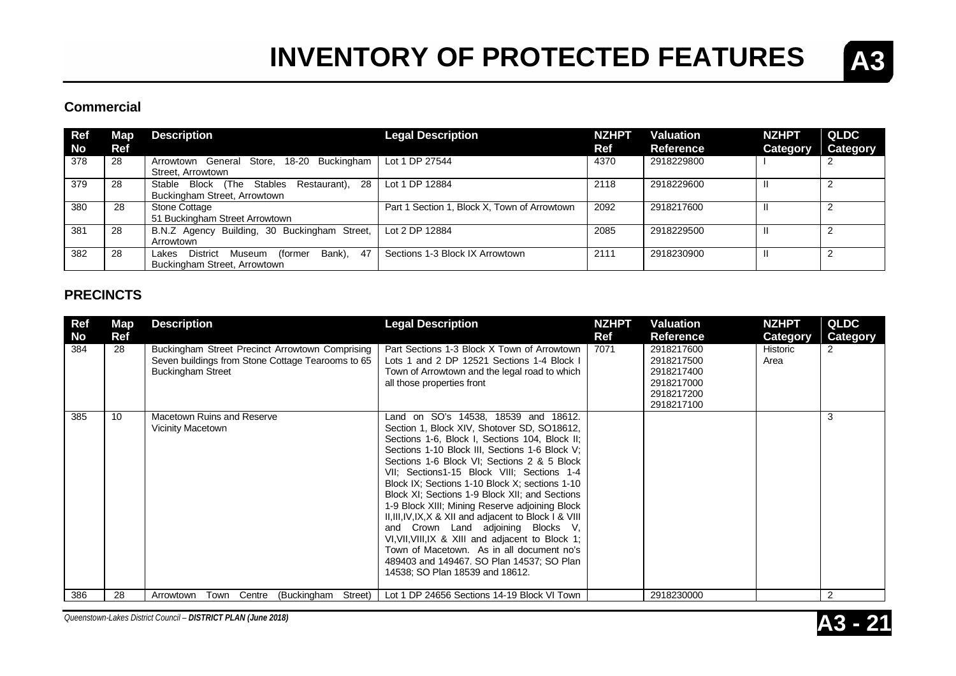

#### **Commercial**

| Ref | Мар. | <b>Description</b>                               | <b>Legal Description</b>                     | <b>NZHPT</b> | Valuation        | <b>NZHPT</b> | <b>QLDC</b> |
|-----|------|--------------------------------------------------|----------------------------------------------|--------------|------------------|--------------|-------------|
| No  | Ref  |                                                  |                                              | Ref          | <b>Reference</b> | Category     | Category    |
| 378 | 28   | Arrowtown General Store, 18-20 Buckingham        | Lot 1 DP 27544                               | 4370         | 2918229800       |              |             |
|     |      | Street, Arrowtown                                |                                              |              |                  |              |             |
| 379 | 28   | Stable Block (The Stables<br>Restaurant), 28     | Lot 1 DP 12884                               | 2118         | 2918229600       | Ш            | 2           |
|     |      | Buckingham Street, Arrowtown                     |                                              |              |                  |              |             |
| 380 | 28   | Stone Cottage                                    | Part 1 Section 1, Block X, Town of Arrowtown | 2092         | 2918217600       |              |             |
|     |      | 51 Buckingham Street Arrowtown                   |                                              |              |                  |              |             |
| 381 | 28   | B.N.Z Agency Building, 30 Buckingham Street,     | Lot 2 DP 12884                               | 2085         | 2918229500       |              |             |
|     |      | Arrowtown                                        |                                              |              |                  |              |             |
| 382 | 28   | Bank). 47<br>District Museum<br>(former<br>Lakes | Sections 1-3 Block IX Arrowtown              | 2111         | 2918230900       | Ш            | っ           |
|     |      | Buckingham Street, Arrowtown                     |                                              |              |                  |              |             |

#### **PRECINCTS**

| Ref<br>No | <b>Map</b><br>Ref | <b>Description</b>                                                                                                               | <b>Legal Description</b>                                                                                                                                                                                                                                                                                                                                                                                                                                                                                                                                                                                                                                                                                                      | <b>NZHPT</b><br>Ref | Valuation<br><b>Reference</b>                                                    | <b>NZHPT</b><br><b>Category</b> | <b>QLDC</b><br><b>Category</b> |
|-----------|-------------------|----------------------------------------------------------------------------------------------------------------------------------|-------------------------------------------------------------------------------------------------------------------------------------------------------------------------------------------------------------------------------------------------------------------------------------------------------------------------------------------------------------------------------------------------------------------------------------------------------------------------------------------------------------------------------------------------------------------------------------------------------------------------------------------------------------------------------------------------------------------------------|---------------------|----------------------------------------------------------------------------------|---------------------------------|--------------------------------|
| 384       | 28                | Buckingham Street Precinct Arrowtown Comprising<br>Seven buildings from Stone Cottage Tearooms to 65<br><b>Buckingham Street</b> | Part Sections 1-3 Block X Town of Arrowtown<br>Lots 1 and 2 DP 12521 Sections 1-4 Block I<br>Town of Arrowtown and the legal road to which<br>all those properties front                                                                                                                                                                                                                                                                                                                                                                                                                                                                                                                                                      | 7071                | 2918217600<br>2918217500<br>2918217400<br>2918217000<br>2918217200<br>2918217100 | Historic<br>Area                | 2                              |
| 385       | 10                | Macetown Ruins and Reserve<br>Vicinity Macetown                                                                                  | Land on SO's 14538, 18539 and 18612.<br>Section 1, Block XIV, Shotover SD, SO18612,<br>Sections 1-6, Block I, Sections 104, Block II;<br>Sections 1-10 Block III, Sections 1-6 Block V;<br>Sections 1-6 Block VI; Sections 2 & 5 Block<br>VII; Sections1-15 Block VIII; Sections 1-4<br>Block IX; Sections 1-10 Block X; sections 1-10<br>Block XI; Sections 1-9 Block XII; and Sections<br>1-9 Block XIII; Mining Reserve adjoining Block<br>II, III, IV, IX, X & XII and adjacent to Block I & VIII<br>and Crown Land adjoining Blocks V,<br>VI, VII, VIII, IX & XIII and adjacent to Block 1;<br>Town of Macetown. As in all document no's<br>489403 and 149467. SO Plan 14537; SO Plan<br>14538; SO Plan 18539 and 18612. |                     |                                                                                  |                                 | 3                              |
| 386       | 28                | Town<br>Centre<br>(Buckingham<br>Street)<br>Arrowtown                                                                            | Lot 1 DP 24656 Sections 14-19 Block VI Town                                                                                                                                                                                                                                                                                                                                                                                                                                                                                                                                                                                                                                                                                   |                     | 2918230000                                                                       |                                 | 2                              |

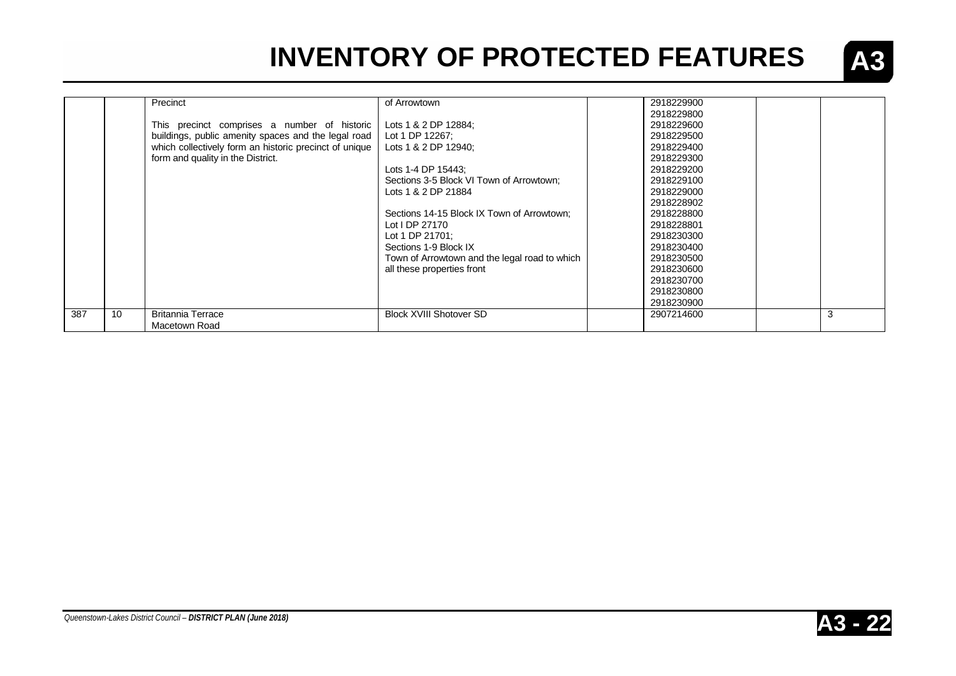

|     |    | Precinct                                               | of Arrowtown                                  | 2918229900 |   |
|-----|----|--------------------------------------------------------|-----------------------------------------------|------------|---|
|     |    |                                                        |                                               | 2918229800 |   |
|     |    | This precinct comprises a number of historic           | Lots 1 & 2 DP 12884;                          | 2918229600 |   |
|     |    | buildings, public amenity spaces and the legal road    | Lot 1 DP 12267;                               | 2918229500 |   |
|     |    | which collectively form an historic precinct of unique | Lots 1 & 2 DP 12940;                          | 2918229400 |   |
|     |    | form and quality in the District.                      |                                               | 2918229300 |   |
|     |    |                                                        | Lots 1-4 DP 15443:                            | 2918229200 |   |
|     |    |                                                        | Sections 3-5 Block VI Town of Arrowtown:      | 2918229100 |   |
|     |    |                                                        | Lots 1 & 2 DP 21884                           | 2918229000 |   |
|     |    |                                                        |                                               | 2918228902 |   |
|     |    |                                                        | Sections 14-15 Block IX Town of Arrowtown;    | 2918228800 |   |
|     |    |                                                        | Lot I DP 27170                                | 2918228801 |   |
|     |    |                                                        | Lot 1 DP 21701;                               | 2918230300 |   |
|     |    |                                                        | Sections 1-9 Block IX                         | 2918230400 |   |
|     |    |                                                        | Town of Arrowtown and the legal road to which | 2918230500 |   |
|     |    |                                                        | all these properties front                    | 2918230600 |   |
|     |    |                                                        |                                               | 2918230700 |   |
|     |    |                                                        |                                               | 2918230800 |   |
|     |    |                                                        |                                               | 2918230900 |   |
| 387 | 10 | <b>Britannia Terrace</b>                               | <b>Block XVIII Shotover SD</b>                | 2907214600 | 3 |
|     |    | Macetown Road                                          |                                               |            |   |

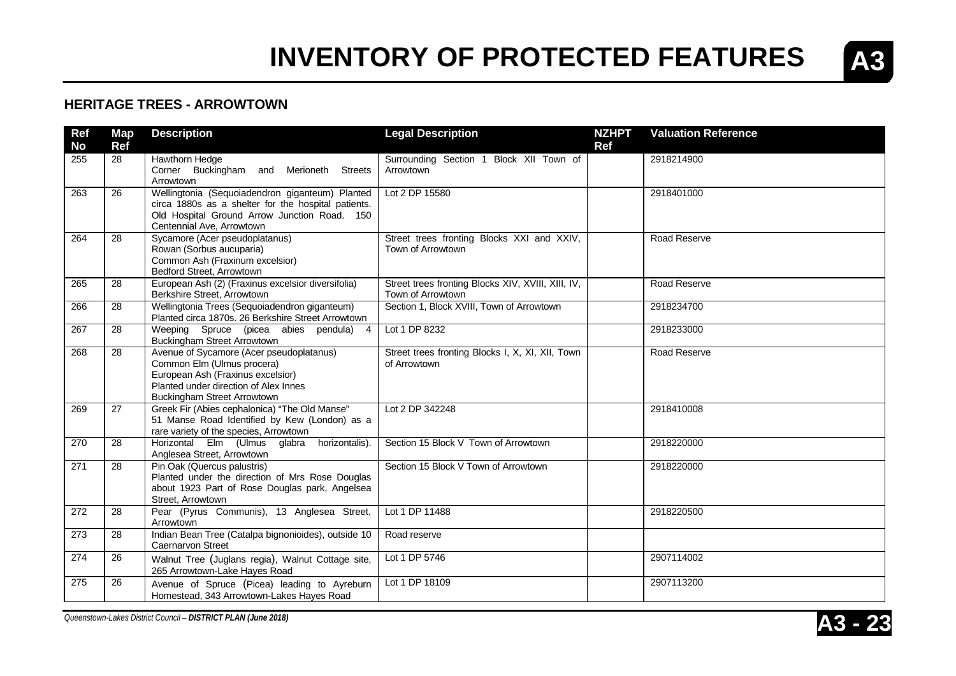

#### **HERITAGE TREES - ARROWTOWN**

| <b>Ref</b><br><b>No</b> | <b>Map</b><br>Ref | <b>Description</b>                                                                                                                                                                  | <b>Legal Description</b>                                                | <b>NZHPT</b><br><b>Ref</b> | <b>Valuation Reference</b> |
|-------------------------|-------------------|-------------------------------------------------------------------------------------------------------------------------------------------------------------------------------------|-------------------------------------------------------------------------|----------------------------|----------------------------|
| 255                     | 28                | Hawthorn Hedge<br>Corner Buckingham and Merioneth<br><b>Streets</b><br>Arrowtown                                                                                                    | Surrounding Section 1 Block XII Town of<br>Arrowtown                    |                            | 2918214900                 |
| 263                     | 26                | Wellingtonia (Sequoiadendron giganteum) Planted<br>circa 1880s as a shelter for the hospital patients.<br>Old Hospital Ground Arrow Junction Road. 150<br>Centennial Ave, Arrowtown | Lot 2 DP 15580                                                          |                            | 2918401000                 |
| 264                     | 28                | Sycamore (Acer pseudoplatanus)<br>Rowan (Sorbus aucuparia)<br>Common Ash (Fraxinum excelsior)<br>Bedford Street, Arrowtown                                                          | Street trees fronting Blocks XXI and XXIV,<br>Town of Arrowtown         |                            | Road Reserve               |
| 265                     | 28                | European Ash (2) (Fraxinus excelsior diversifolia)<br>Berkshire Street, Arrowtown                                                                                                   | Street trees fronting Blocks XIV, XVIII, XIII, IV,<br>Town of Arrowtown |                            | Road Reserve               |
| 266                     | 28                | Wellingtonia Trees (Sequoiadendron giganteum)<br>Planted circa 1870s. 26 Berkshire Street Arrowtown                                                                                 | Section 1, Block XVIII, Town of Arrowtown                               |                            | 2918234700                 |
| 267                     | 28                | Weeping Spruce (picea abies pendula) 4<br>Buckingham Street Arrowtown                                                                                                               | Lot 1 DP 8232                                                           |                            | 2918233000                 |
| 268                     | 28                | Avenue of Sycamore (Acer pseudoplatanus)<br>Common Elm (Ulmus procera)<br>European Ash (Fraxinus excelsior)<br>Planted under direction of Alex Innes<br>Buckingham Street Arrowtown | Street trees fronting Blocks I, X, XI, XII, Town<br>of Arrowtown        |                            | Road Reserve               |
| 269                     | 27                | Greek Fir (Abies cephalonica) "The Old Manse"<br>51 Manse Road Identified by Kew (London) as a<br>rare variety of the species, Arrowtown                                            | Lot 2 DP 342248                                                         |                            | 2918410008                 |
| 270                     | 28                | Horizontal Elm (Ulmus glabra<br>horizontalis).<br>Anglesea Street, Arrowtown                                                                                                        | Section 15 Block V Town of Arrowtown                                    |                            | 2918220000                 |
| 271                     | 28                | Pin Oak (Quercus palustris)<br>Planted under the direction of Mrs Rose Douglas<br>about 1923 Part of Rose Douglas park, Angelsea<br>Street, Arrowtown                               | Section 15 Block V Town of Arrowtown                                    |                            | 2918220000                 |
| 272                     | 28                | Pear (Pyrus Communis), 13 Anglesea Street,<br>Arrowtown                                                                                                                             | Lot 1 DP 11488                                                          |                            | 2918220500                 |
| 273                     | 28                | Indian Bean Tree (Catalpa bignonioides), outside 10<br><b>Caernarvon Street</b>                                                                                                     | Road reserve                                                            |                            |                            |
| 274                     | 26                | Walnut Tree (Juglans regia), Walnut Cottage site,<br>265 Arrowtown-Lake Hayes Road                                                                                                  | Lot 1 DP 5746                                                           |                            | 2907114002                 |
| 275                     | 26                | Avenue of Spruce (Picea) leading to Ayreburn<br>Homestead, 343 Arrowtown-Lakes Hayes Road                                                                                           | Lot 1 DP 18109                                                          |                            | 2907113200                 |

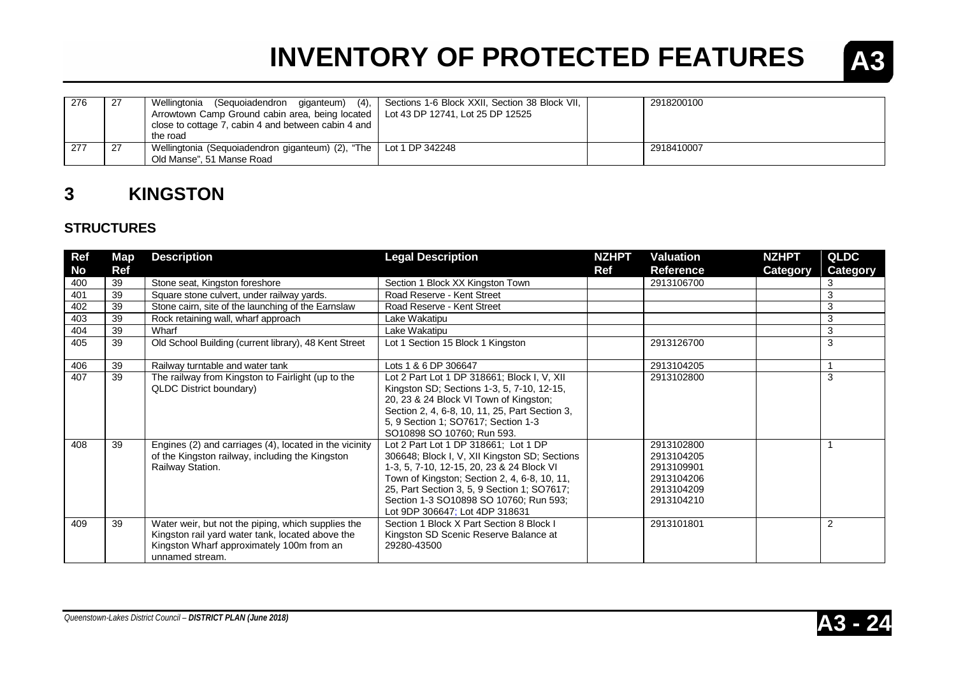

| 276 | -27  | (4),<br>Wellingtonia<br>(Sequoiadendron giganteum)<br>Arrowtown Camp Ground cabin area, being located   Lot 43 DP 12741, Lot 25 DP 12525 | Sections 1-6 Block XXII, Section 38 Block VII, | 2918200100 |  |
|-----|------|------------------------------------------------------------------------------------------------------------------------------------------|------------------------------------------------|------------|--|
|     |      | close to cottage 7, cabin 4 and between cabin 4 and<br>the road                                                                          |                                                |            |  |
| 277 | . 27 | Wellingtonia (Sequoiadendron giganteum) (2), "The   Lot 1 DP 342248<br>Old Manse", 51 Manse Road                                         |                                                | 2918410007 |  |

### **3 KINGSTON**

### **STRUCTURES**

| Ref | Map        | <b>Description</b>                                                                                                                                                     | <b>Legal Description</b>                                                                                                                                                                                                                                                                                      | <b>NZHPT</b> | <b>Valuation</b>                                                                 | <b>NZHPT</b>    | <b>QLDC</b>     |
|-----|------------|------------------------------------------------------------------------------------------------------------------------------------------------------------------------|---------------------------------------------------------------------------------------------------------------------------------------------------------------------------------------------------------------------------------------------------------------------------------------------------------------|--------------|----------------------------------------------------------------------------------|-----------------|-----------------|
| No  | <b>Ref</b> |                                                                                                                                                                        |                                                                                                                                                                                                                                                                                                               | Ref          | <b>Reference</b>                                                                 | <b>Category</b> | <b>Category</b> |
| 400 | 39         | Stone seat, Kingston foreshore                                                                                                                                         | Section 1 Block XX Kingston Town                                                                                                                                                                                                                                                                              |              | 2913106700                                                                       |                 | 3               |
| 401 | 39         | Square stone culvert, under railway yards.                                                                                                                             | Road Reserve - Kent Street                                                                                                                                                                                                                                                                                    |              |                                                                                  |                 | 3               |
| 402 | 39         | Stone cairn, site of the launching of the Earnslaw                                                                                                                     | Road Reserve - Kent Street                                                                                                                                                                                                                                                                                    |              |                                                                                  |                 | 3               |
| 403 | 39         | Rock retaining wall, wharf approach                                                                                                                                    | Lake Wakatipu                                                                                                                                                                                                                                                                                                 |              |                                                                                  |                 | 3               |
| 404 | 39         | Wharf                                                                                                                                                                  | Lake Wakatipu                                                                                                                                                                                                                                                                                                 |              |                                                                                  |                 | 3               |
| 405 | 39         | Old School Building (current library), 48 Kent Street                                                                                                                  | Lot 1 Section 15 Block 1 Kingston                                                                                                                                                                                                                                                                             |              | 2913126700                                                                       |                 | 3               |
| 406 | 39         | Railway turntable and water tank                                                                                                                                       | Lots 1 & 6 DP 306647                                                                                                                                                                                                                                                                                          |              | 2913104205                                                                       |                 |                 |
| 407 | 39         | The railway from Kingston to Fairlight (up to the<br><b>QLDC District boundary)</b>                                                                                    | Lot 2 Part Lot 1 DP 318661; Block I, V, XII<br>Kingston SD; Sections 1-3, 5, 7-10, 12-15,<br>20, 23 & 24 Block VI Town of Kingston;<br>Section 2, 4, 6-8, 10, 11, 25, Part Section 3,<br>5, 9 Section 1; SO7617; Section 1-3<br>SO10898 SO 10760; Run 593.                                                    |              | 2913102800                                                                       |                 | 3               |
| 408 | 39         | Engines (2) and carriages (4), located in the vicinity<br>of the Kingston railway, including the Kingston<br>Railway Station.                                          | Lot 2 Part Lot 1 DP 318661; Lot 1 DP<br>306648; Block I, V, XII Kingston SD; Sections<br>1-3, 5, 7-10, 12-15, 20, 23 & 24 Block VI<br>Town of Kingston; Section 2, 4, 6-8, 10, 11,<br>25, Part Section 3, 5, 9 Section 1; SO7617;<br>Section 1-3 SO10898 SO 10760; Run 593;<br>Lot 9DP 306647; Lot 4DP 318631 |              | 2913102800<br>2913104205<br>2913109901<br>2913104206<br>2913104209<br>2913104210 |                 |                 |
| 409 | 39         | Water weir, but not the piping, which supplies the<br>Kingston rail yard water tank, located above the<br>Kingston Wharf approximately 100m from an<br>unnamed stream. | Section 1 Block X Part Section 8 Block I<br>Kingston SD Scenic Reserve Balance at<br>29280-43500                                                                                                                                                                                                              |              | 2913101801                                                                       |                 | $\overline{2}$  |



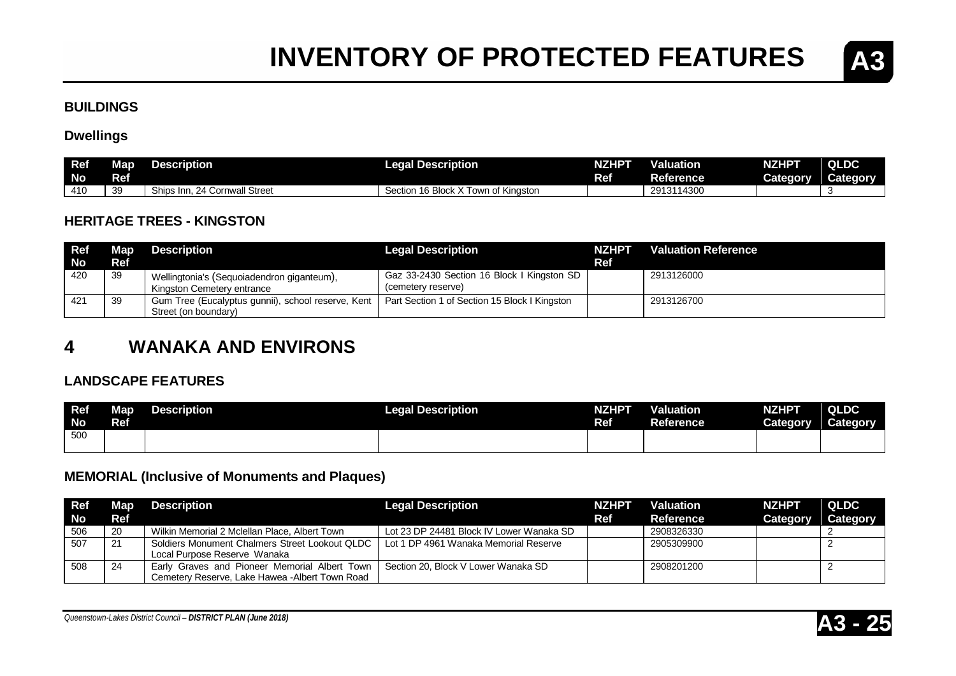

#### **BUILDINGS**

#### **Dwellings**

| Ref<br><b>No</b> | Map<br>Ref | Description                        | <b>Legal Description</b>                         | NZHPT<br>Ref | Valuation<br>Reference | <b>NZHPT</b><br>Category | QLDC<br>Category |
|------------------|------------|------------------------------------|--------------------------------------------------|--------------|------------------------|--------------------------|------------------|
| 410              | 39         | Ships Inn.<br>. 24 Cornwall Street | Town of Kinaston<br>$16$ Block $\sim$<br>Section |              | 2913114300             |                          |                  |

#### **HERITAGE TREES - KINGSTON**

| Ref       |            | <b>Map</b> Description                                                   | <b>Legal Description</b>                                         | <b>NZHPT</b> | <b>Valuation Reference</b> |
|-----------|------------|--------------------------------------------------------------------------|------------------------------------------------------------------|--------------|----------------------------|
| <b>No</b> | <b>Ref</b> |                                                                          |                                                                  | Ref          |                            |
| 420       | -39        | Wellingtonia's (Sequoiadendron giganteum),<br>Kingston Cemetery entrance | Gaz 33-2430 Section 16 Block I Kingston SD<br>(cemetery reserve) |              | 2913126000                 |
|           | 39         | Gum Tree (Eucalyptus gunnii), school reserve, Kent                       | Part Section 1 of Section 15 Block I Kingston                    |              | 2913126700                 |
|           |            | Street (on boundary)                                                     |                                                                  |              |                            |

### **4 WANAKA AND ENVIRONS**

#### **LANDSCAPE FEATURES**

| Ref<br><b>No</b> | <b>Map</b><br>Ref | <b>Description</b> | <b>Legal Description</b> | NZHPT<br>Ref | <b>Valuation</b><br>Reference | <b>NZHPT</b><br>Category | <b>QLDC</b><br>Category |
|------------------|-------------------|--------------------|--------------------------|--------------|-------------------------------|--------------------------|-------------------------|
| 500              |                   |                    |                          |              |                               |                          |                         |

#### **MEMORIAL (Inclusive of Monuments and Plaques)**

| <b>Ref</b> |      | <b>Map</b> Description                          | <b>Legal Description</b>                 | <b>NZHPT</b> | <b>Valuation</b> | <b>NZHPT</b>    | <b>QLDC</b>     |
|------------|------|-------------------------------------------------|------------------------------------------|--------------|------------------|-----------------|-----------------|
| <b>No</b>  | Ref  |                                                 |                                          | Ref          | Reference        | <b>Category</b> | <b>Category</b> |
| 506        | - 20 | Wilkin Memorial 2 Mclellan Place, Albert Town   | Lot 23 DP 24481 Block IV Lower Wanaka SD |              | 2908326330       |                 |                 |
| 507        | 21   | Soldiers Monument Chalmers Street Lookout QLDC  | Lot 1 DP 4961 Wanaka Memorial Reserve    |              | 2905309900       |                 |                 |
|            |      | Local Purpose Reserve Wanaka                    |                                          |              |                  |                 |                 |
| 508        | 24   | Early Graves and Pioneer Memorial Albert Town   | Section 20, Block V Lower Wanaka SD      |              | 2908201200       |                 |                 |
|            |      | Cemetery Reserve, Lake Hawea - Albert Town Road |                                          |              |                  |                 |                 |

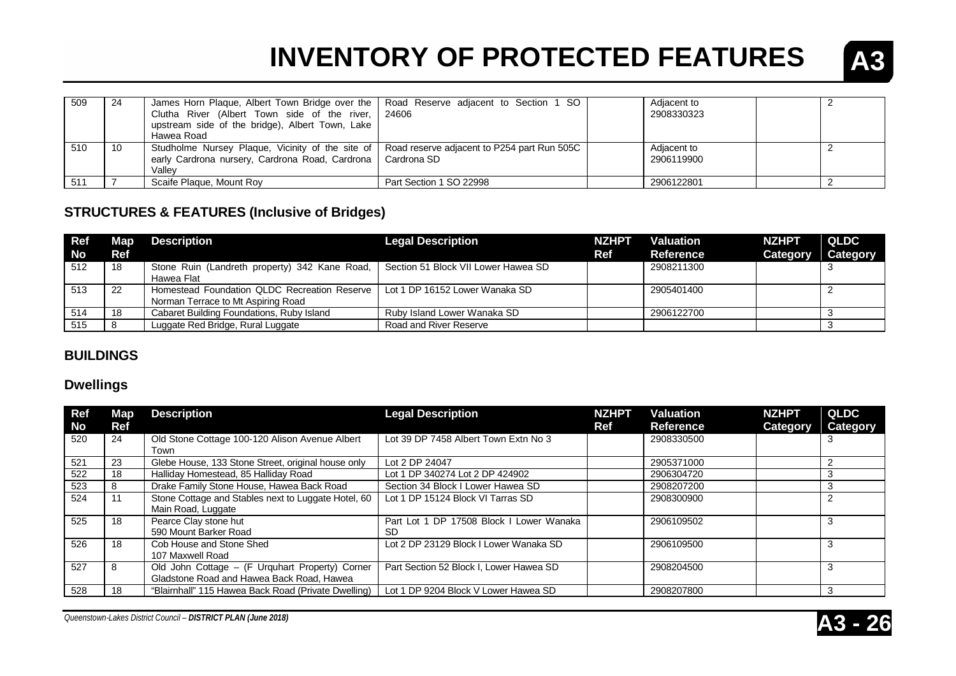

| 509 | -24 | James Horn Plaque, Albert Town Bridge over the   Road Reserve adjacent to Section 1 SO<br>Clutha River (Albert Town side of the river,<br>upstream side of the bridge), Albert Town, Lake<br>Hawea Road | 24606                   | Adjacent to<br>2908330323 |  |
|-----|-----|---------------------------------------------------------------------------------------------------------------------------------------------------------------------------------------------------------|-------------------------|---------------------------|--|
| 510 | -10 | Studholme Nursey Plaque, Vicinity of the site of   Road reserve adjacent to P254 part Run 505C<br>early Cardrona nursery, Cardrona Road, Cardrona<br>Vallev                                             | Cardrona SD             | Adjacent to<br>2906119900 |  |
| 511 |     | Scaife Plaque, Mount Roy                                                                                                                                                                                | Part Section 1 SO 22998 | 2906122801                |  |

### **STRUCTURES & FEATURES (Inclusive of Bridges)**

| Ref       |     | Map Description                                                                    | <b>Legal Description</b>            | <b>NZHPT</b> | <b>Valuation</b> | <b>NZHPT</b> | <b>QLDC</b> |
|-----------|-----|------------------------------------------------------------------------------------|-------------------------------------|--------------|------------------|--------------|-------------|
| <b>No</b> | Ref |                                                                                    |                                     | <b>Ref</b>   | <b>Reference</b> | Category     | Category    |
| 512       | 18  | Stone Ruin (Landreth property) 342 Kane Road,<br>Hawea Flat                        | Section 51 Block VII Lower Hawea SD |              | 2908211300       |              |             |
| 513       | -22 | Homestead Foundation QLDC Recreation Reserve<br>Norman Terrace to Mt Aspiring Road | Lot 1 DP 16152 Lower Wanaka SD      |              | 2905401400       |              |             |
| 514       | -18 | Cabaret Building Foundations, Ruby Island                                          | Ruby Island Lower Wanaka SD         |              | 2906122700       |              |             |
| 515       |     | Luggate Red Bridge, Rural Luggate                                                  | Road and River Reserve              |              |                  |              |             |

### **BUILDINGS**

#### **Dwellings**

| Ref<br><b>No</b> | Map<br>Ref | <b>Description</b>                                                                           | <b>Legal Description</b>                              | <b>NZHPT</b><br>Ref | Valuation<br><b>Reference</b> | <b>NZHPT</b><br><b>Category</b> | <b>QLDC</b><br><b>Category</b> |
|------------------|------------|----------------------------------------------------------------------------------------------|-------------------------------------------------------|---------------------|-------------------------------|---------------------------------|--------------------------------|
| 520              | 24         | Old Stone Cottage 100-120 Alison Avenue Albert<br>Town                                       | Lot 39 DP 7458 Albert Town Extn No 3                  |                     | 2908330500                    |                                 |                                |
| 521              | 23         | Glebe House, 133 Stone Street, original house only                                           | Lot 2 DP 24047                                        |                     | 2905371000                    |                                 |                                |
| 522              | 18         | Halliday Homestead, 85 Halliday Road                                                         | Lot 1 DP 340274 Lot 2 DP 424902                       |                     | 2906304720                    |                                 |                                |
| 523              | 8          | Drake Family Stone House, Hawea Back Road                                                    | Section 34 Block I Lower Hawea SD                     |                     | 2908207200                    |                                 |                                |
| 524              | 11         | Stone Cottage and Stables next to Luggate Hotel, 60<br>Main Road, Luggate                    | Lot 1 DP 15124 Block VI Tarras SD                     |                     | 2908300900                    |                                 |                                |
| 525              | 18         | Pearce Clay stone hut<br>590 Mount Barker Road                                               | Part Lot 1 DP 17508 Block I Lower Wanaka<br><b>SD</b> |                     | 2906109502                    |                                 |                                |
| 526              | 18         | Cob House and Stone Shed<br>107 Maxwell Road                                                 | Lot 2 DP 23129 Block I Lower Wanaka SD                |                     | 2906109500                    |                                 |                                |
| 527              | 8          | Old John Cottage - (F Urquhart Property) Corner<br>Gladstone Road and Hawea Back Road, Hawea | Part Section 52 Block I, Lower Hawea SD               |                     | 2908204500                    |                                 |                                |
| 528              | 18         | "Blairnhall" 115 Hawea Back Road (Private Dwelling)                                          | Lot 1 DP 9204 Block V Lower Hawea SD                  |                     | 2908207800                    |                                 | 3                              |

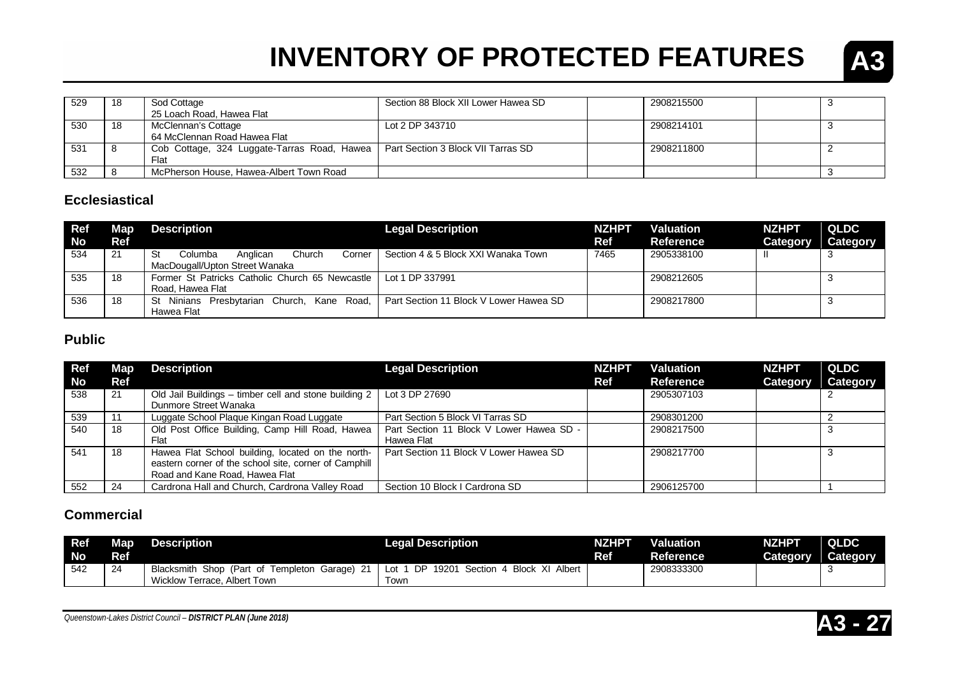

| 529 | -18 | Sod Cottage                                                                      | Section 88 Block XII Lower Hawea SD | 2908215500 |  |
|-----|-----|----------------------------------------------------------------------------------|-------------------------------------|------------|--|
|     |     | 25 Loach Road, Hawea Flat                                                        |                                     |            |  |
| 530 | -18 | McClennan's Cottage                                                              | Lot 2 DP 343710                     | 2908214101 |  |
|     |     | 64 McClennan Road Hawea Flat                                                     |                                     |            |  |
| 531 |     | Cob Cottage, 324 Luggate-Tarras Road, Hawea   Part Section 3 Block VII Tarras SD |                                     | 2908211800 |  |
|     |     | Flat                                                                             |                                     |            |  |
| 532 |     | McPherson House, Hawea-Albert Town Road                                          |                                     |            |  |

#### **Ecclesiastical**

| <b>Ref</b><br><b>No</b> | Map<br><b>Ref</b> | <b>Description</b>                                                              | <b>Legal Description</b>               | <b>NZHPT</b><br>Ref | <b>Valuation</b><br><b>Reference</b> | <b>NZHPT</b><br><b>Category</b> | <b>QLDC</b><br><b>Category</b> |
|-------------------------|-------------------|---------------------------------------------------------------------------------|----------------------------------------|---------------------|--------------------------------------|---------------------------------|--------------------------------|
| 534                     | 21                | Church<br>St<br>Columba<br>Anglican<br>Corner<br>MacDougall/Upton Street Wanaka | Section 4 & 5 Block XXI Wanaka Town    | 7465                | 2905338100                           |                                 |                                |
| 535                     | 18                | Former St Patricks Catholic Church 65 Newcastle<br>Road. Hawea Flat             | Lot 1 DP 337991                        |                     | 2908212605                           |                                 |                                |
| 536                     | 18                | St Ninians Presbytarian Church,<br>Kane Road,<br>Hawea Flat                     | Part Section 11 Block V Lower Hawea SD |                     | 2908217800                           |                                 |                                |

#### **Public**

| <b>Ref</b> | Map | <b>Description</b>                                    | <b>Legal Description</b>                 | <b>NZHPT</b> | <b>Valuation</b> | <b>NZHPT</b> | QLDC     |
|------------|-----|-------------------------------------------------------|------------------------------------------|--------------|------------------|--------------|----------|
| <b>No</b>  | Ref |                                                       |                                          | Ref          | <b>Reference</b> | Category     | Category |
| 538        | 21  | Old Jail Buildings - timber cell and stone building 2 | Lot 3 DP 27690                           |              | 2905307103       |              |          |
|            |     | Dunmore Street Wanaka                                 |                                          |              |                  |              |          |
| 539        |     | Luggate School Plaque Kingan Road Luggate             | Part Section 5 Block VI Tarras SD        |              | 2908301200       |              |          |
| 540        | 18  | Old Post Office Building, Camp Hill Road, Hawea       | Part Section 11 Block V Lower Hawea SD - |              | 2908217500       |              |          |
|            |     | Flat                                                  | Hawea Flat                               |              |                  |              |          |
| 541        | 18  | Hawea Flat School building, located on the north-     | Part Section 11 Block V Lower Hawea SD   |              | 2908217700       |              |          |
|            |     | eastern corner of the school site, corner of Camphill |                                          |              |                  |              |          |
|            |     | Road and Kane Road, Hawea Flat                        |                                          |              |                  |              |          |
| 552        | 24  | Cardrona Hall and Church, Cardrona Valley Road        | Section 10 Block I Cardrona SD           |              | 2906125700       |              |          |

#### **Commercial**

| <b>Ref</b> | <b>Map</b> | <b>Description</b>                            | <b>Legal Description</b>                           | NZHPT      | <b>Valuation</b> | NZHPT    | <b>QLDC</b> |
|------------|------------|-----------------------------------------------|----------------------------------------------------|------------|------------------|----------|-------------|
| <b>No</b>  | Ref        |                                               |                                                    | <b>Ref</b> | <b>Reference</b> | Category | Category    |
| 542        | 24         | Blacksmith Shop (Part of Templeton Garage) 21 | 19201<br>Section 4 Block XI<br>DP<br>Albert<br>Lot |            | 2908333300       |          |             |
|            |            | Wicklow Terrace, Albert Town                  | Town                                               |            |                  |          |             |

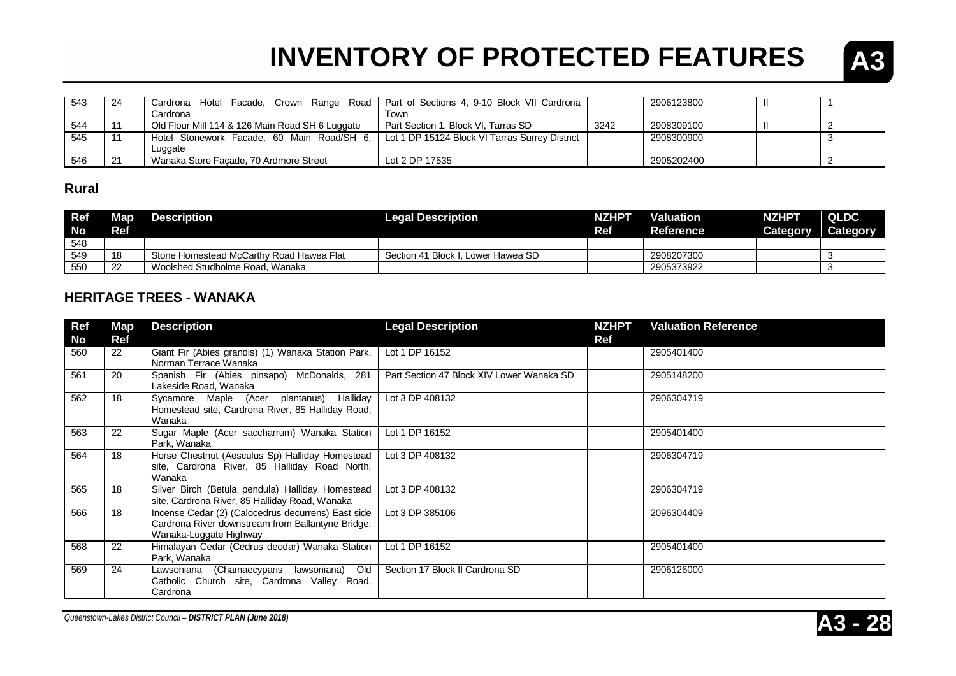

| 543 | -24 | Cardrona Hotel Facade, Crown Range Road   Part of Sections 4, 9-10 Block VII Cardrona       |                                     |      | 2906123800 |  |
|-----|-----|---------------------------------------------------------------------------------------------|-------------------------------------|------|------------|--|
|     |     | Cardronal                                                                                   | Town                                |      |            |  |
| 544 |     | Old Flour Mill 114 & 126 Main Road SH 6 Luggate                                             | Part Section 1. Block VI. Tarras SD | 3242 | 2908309100 |  |
| 545 |     | Hotel Stonework Facade, 60 Main Road/SH 6,   Lot 1 DP 15124 Block VI Tarras Surrey District |                                     |      | 2908300900 |  |
|     |     | Luggate                                                                                     |                                     |      |            |  |
| 546 | -21 | Wanaka Store Facade, 70 Ardmore Street                                                      | Lot 2 DP 17535                      |      | 2905202400 |  |

#### **Rural**

| <b>Ref</b><br><b>No</b> | <b>Map</b><br>Ref | <b>Description</b>                       | <b>Legal Description</b>           | <b>NZHPT</b><br>Ref | Valuation<br><b>Reference</b> | <b>NZHPT</b><br>Category | <b>QLDC</b><br>Category |
|-------------------------|-------------------|------------------------------------------|------------------------------------|---------------------|-------------------------------|--------------------------|-------------------------|
| 548                     |                   |                                          |                                    |                     |                               |                          |                         |
| 549                     | 18                | Stone Homestead McCarthy Road Hawea Flat | Section 41 Block I. Lower Hawea SD |                     | 2908207300                    |                          |                         |
| 550                     | -22               | Woolshed Studholme Road, Wanaka          |                                    |                     | 2905373922                    |                          |                         |

#### **HERITAGE TREES - WANAKA**

| <b>Ref</b><br>No | Map<br>Ref | <b>Description</b>                                                                                                                | <b>Legal Description</b>                  | <b>NZHPT</b><br>Ref | <b>Valuation Reference</b> |
|------------------|------------|-----------------------------------------------------------------------------------------------------------------------------------|-------------------------------------------|---------------------|----------------------------|
| 560              | 22         | Giant Fir (Abies grandis) (1) Wanaka Station Park,<br>Norman Terrace Wanaka                                                       | Lot 1 DP 16152                            |                     | 2905401400                 |
| 561              | 20         | Spanish Fir (Abies pinsapo) McDonalds, 281<br>Lakeside Road, Wanaka                                                               | Part Section 47 Block XIV Lower Wanaka SD |                     | 2905148200                 |
| 562              | 18         | Sycamore Maple (Acer plantanus) Halliday<br>Homestead site, Cardrona River, 85 Halliday Road,<br>Wanaka                           | Lot 3 DP 408132                           |                     | 2906304719                 |
| 563              | 22         | Sugar Maple (Acer saccharrum) Wanaka Station<br>Park. Wanaka                                                                      | Lot 1 DP 16152                            |                     | 2905401400                 |
| 564              | 18         | Horse Chestnut (Aesculus Sp) Halliday Homestead<br>site, Cardrona River, 85 Halliday Road North,<br>Wanaka                        | Lot 3 DP 408132                           |                     | 2906304719                 |
| 565              | 18         | Silver Birch (Betula pendula) Halliday Homestead<br>site, Cardrona River, 85 Halliday Road, Wanaka                                | Lot 3 DP 408132                           |                     | 2906304719                 |
| 566              | 18         | Incense Cedar (2) (Calocedrus decurrens) East side<br>Cardrona River downstream from Ballantyne Bridge,<br>Wanaka-Luggate Highway | Lot 3 DP 385106                           |                     | 2096304409                 |
| 568              | 22         | Himalayan Cedar (Cedrus deodar) Wanaka Station<br>Park, Wanaka                                                                    | Lot 1 DP 16152                            |                     | 2905401400                 |
| 569              | 24         | Lawsoniana (Chamaecyparis lawsoniana)<br>Old<br>Catholic Church site, Cardrona Valley Road,<br>Cardrona                           | Section 17 Block II Cardrona SD           |                     | 2906126000                 |

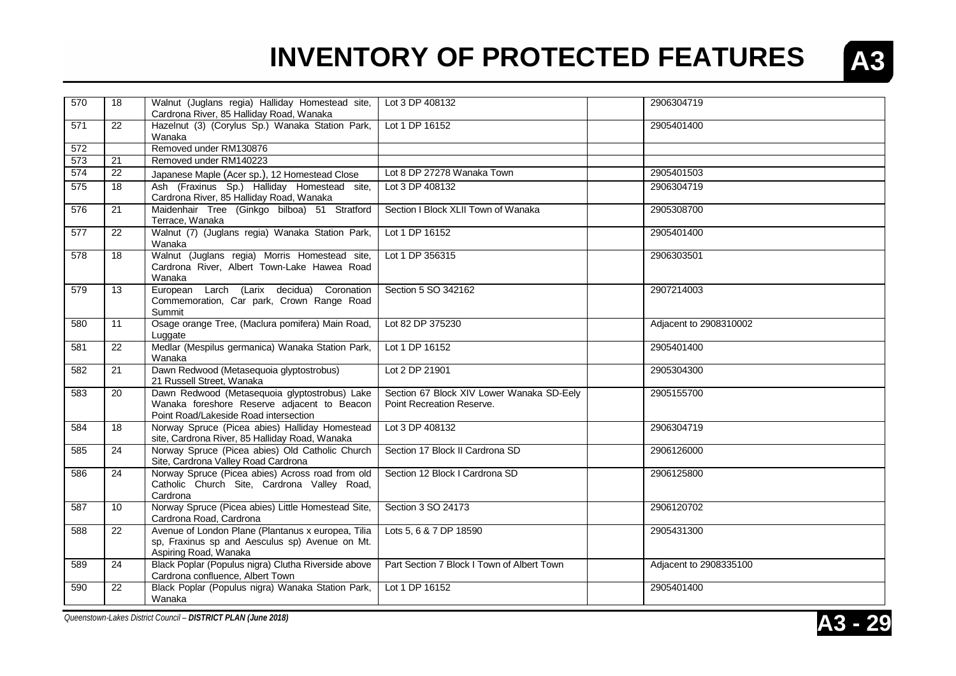

| 570 | 18              | Walnut (Juglans regia) Halliday Homestead site,<br>Cardrona River, 85 Halliday Road, Wanaka                                           | Lot 3 DP 408132                                                        | 2906304719             |
|-----|-----------------|---------------------------------------------------------------------------------------------------------------------------------------|------------------------------------------------------------------------|------------------------|
| 571 | 22              | Hazelnut (3) (Corylus Sp.) Wanaka Station Park,<br>Wanaka                                                                             | Lot 1 DP 16152                                                         | 2905401400             |
| 572 |                 | Removed under RM130876                                                                                                                |                                                                        |                        |
| 573 | 21              | Removed under RM140223                                                                                                                |                                                                        |                        |
| 574 | 22              | Japanese Maple (Acer sp.), 12 Homestead Close                                                                                         | Lot 8 DP 27278 Wanaka Town                                             | 2905401503             |
| 575 | 18              | Ash (Fraxinus Sp.) Halliday Homestead site,<br>Cardrona River, 85 Halliday Road, Wanaka                                               | Lot 3 DP 408132                                                        | 2906304719             |
| 576 | 21              | Maidenhair Tree (Ginkgo bilboa) 51 Stratford<br>Terrace, Wanaka                                                                       | Section I Block XLII Town of Wanaka                                    | 2905308700             |
| 577 | 22              | Walnut (7) (Juglans regia) Wanaka Station Park,<br>Wanaka                                                                             | Lot 1 DP 16152                                                         | 2905401400             |
| 578 | 18              | Walnut (Juglans regia) Morris Homestead site,<br>Cardrona River, Albert Town-Lake Hawea Road<br>Wanaka                                | Lot 1 DP 356315                                                        | 2906303501             |
| 579 | 13              | European Larch (Larix decidua) Coronation<br>Commemoration, Car park, Crown Range Road<br>Summit                                      | Section 5 SO 342162                                                    | 2907214003             |
| 580 | 11              | Osage orange Tree, (Maclura pomifera) Main Road,<br>Luggate                                                                           | Lot 82 DP 375230                                                       | Adjacent to 2908310002 |
| 581 | $\overline{22}$ | Medlar (Mespilus germanica) Wanaka Station Park,<br>Wanaka                                                                            | Lot 1 DP 16152                                                         | 2905401400             |
| 582 | 21              | Dawn Redwood (Metasequoia glyptostrobus)<br>21 Russell Street, Wanaka                                                                 | Lot 2 DP 21901                                                         | 2905304300             |
| 583 | 20              | Dawn Redwood (Metasequoia glyptostrobus) Lake<br>Wanaka foreshore Reserve adjacent to Beacon<br>Point Road/Lakeside Road intersection | Section 67 Block XIV Lower Wanaka SD-Eely<br>Point Recreation Reserve. | 2905155700             |
| 584 | 18              | Norway Spruce (Picea abies) Halliday Homestead<br>site, Cardrona River, 85 Halliday Road, Wanaka                                      | Lot 3 DP 408132                                                        | 2906304719             |
| 585 | 24              | Norway Spruce (Picea abies) Old Catholic Church<br>Site, Cardrona Valley Road Cardrona                                                | Section 17 Block II Cardrona SD                                        | 2906126000             |
| 586 | 24              | Norway Spruce (Picea abies) Across road from old<br>Catholic Church Site, Cardrona Valley Road,<br>Cardrona                           | Section 12 Block I Cardrona SD                                         | 2906125800             |
| 587 | 10 <sup>°</sup> | Norway Spruce (Picea abies) Little Homestead Site,<br>Cardrona Road, Cardrona                                                         | Section 3 SO 24173                                                     | 2906120702             |
| 588 | 22              | Avenue of London Plane (Plantanus x europea, Tilia<br>sp, Fraxinus sp and Aesculus sp) Avenue on Mt.<br>Aspiring Road, Wanaka         | Lots 5, 6 & 7 DP 18590                                                 | 2905431300             |
| 589 | $\overline{24}$ | Black Poplar (Populus nigra) Clutha Riverside above<br>Cardrona confluence, Albert Town                                               | Part Section 7 Block I Town of Albert Town                             | Adjacent to 2908335100 |
| 590 | 22              | Black Poplar (Populus nigra) Wanaka Station Park,<br>Wanaka                                                                           | Lot 1 DP 16152                                                         | 2905401400             |
|     |                 |                                                                                                                                       |                                                                        |                        |

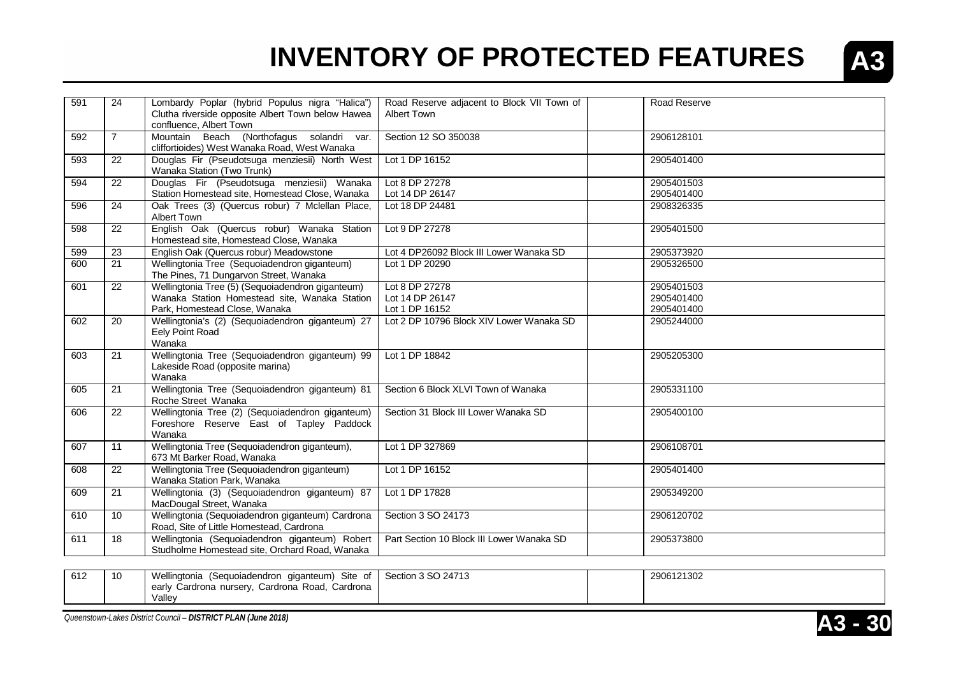

| 591 | 24              | Lombardy Poplar (hybrid Populus nigra "Halica")<br>Clutha riverside opposite Albert Town below Hawea<br>confluence, Albert Town    | Road Reserve adjacent to Block VII Town of<br>Albert Town | Road Reserve                           |
|-----|-----------------|------------------------------------------------------------------------------------------------------------------------------------|-----------------------------------------------------------|----------------------------------------|
| 592 | $\overline{7}$  | Mountain Beach (Northofagus solandri var.<br>cliffortioides) West Wanaka Road, West Wanaka                                         | Section 12 SO 350038                                      | 2906128101                             |
| 593 | 22              | Douglas Fir (Pseudotsuga menziesii) North West<br>Wanaka Station (Two Trunk)                                                       | Lot 1 DP 16152                                            | 2905401400                             |
| 594 | 22              | Douglas Fir (Pseudotsuga menziesii) Wanaka<br>Station Homestead site, Homestead Close, Wanaka                                      | Lot 8 DP 27278<br>Lot 14 DP 26147                         | 2905401503<br>2905401400               |
| 596 | 24              | Oak Trees (3) (Quercus robur) 7 Mclellan Place,<br><b>Albert Town</b>                                                              | Lot 18 DP 24481                                           | 2908326335                             |
| 598 | 22              | English Oak (Quercus robur) Wanaka Station<br>Homestead site, Homestead Close, Wanaka                                              | Lot 9 DP 27278                                            | 2905401500                             |
| 599 | $\overline{23}$ | English Oak (Quercus robur) Meadowstone                                                                                            | Lot 4 DP26092 Block III Lower Wanaka SD                   | 2905373920                             |
| 600 | 21              | Wellingtonia Tree (Sequoiadendron giganteum)<br>The Pines, 71 Dungarvon Street, Wanaka                                             | Lot 1 DP 20290                                            | 2905326500                             |
| 601 | 22              | Wellingtonia Tree (5) (Sequoiadendron giganteum)<br>Wanaka Station Homestead site, Wanaka Station<br>Park, Homestead Close, Wanaka | Lot 8 DP 27278<br>Lot 14 DP 26147<br>Lot 1 DP 16152       | 2905401503<br>2905401400<br>2905401400 |
| 602 | 20              | Wellingtonia's (2) (Sequoiadendron giganteum) 27<br>Eely Point Road<br>Wanaka                                                      | Lot 2 DP 10796 Block XIV Lower Wanaka SD                  | 2905244000                             |
| 603 | 21              | Wellingtonia Tree (Sequoiadendron giganteum) 99<br>Lakeside Road (opposite marina)<br>Wanaka                                       | Lot 1 DP 18842                                            | 2905205300                             |
| 605 | 21              | Wellingtonia Tree (Sequoiadendron giganteum) 81<br>Roche Street Wanaka                                                             | Section 6 Block XLVI Town of Wanaka                       | 2905331100                             |
| 606 | 22              | Wellingtonia Tree (2) (Sequoiadendron giganteum)<br>Foreshore Reserve East of Tapley Paddock<br>Wanaka                             | Section 31 Block III Lower Wanaka SD                      | 2905400100                             |
| 607 | 11              | Wellingtonia Tree (Sequoiadendron giganteum),<br>673 Mt Barker Road, Wanaka                                                        | Lot 1 DP 327869                                           | 2906108701                             |
| 608 | 22              | Wellingtonia Tree (Sequoiadendron giganteum)<br>Wanaka Station Park, Wanaka                                                        | Lot 1 DP 16152                                            | 2905401400                             |
| 609 | $\overline{21}$ | Wellingtonia (3) (Sequoiadendron giganteum) 87<br>MacDougal Street, Wanaka                                                         | Lot 1 DP 17828                                            | 2905349200                             |
| 610 | 10              | Wellingtonia (Sequoiadendron giganteum) Cardrona<br>Road, Site of Little Homestead, Cardrona                                       | Section 3 SO 24173                                        | 2906120702                             |
| 611 | 18              | Wellingtonia (Sequoiadendron giganteum) Robert<br>Studholme Homestead site, Orchard Road, Wanaka                                   | Part Section 10 Block III Lower Wanaka SD                 | 2905373800                             |

| 612 | $\overline{\phantom{a}}$<br>-16 | Wellingtonia (Sequoiadendron giganteum) Site of      | Section 3 SO 24713 | 2906121302 |
|-----|---------------------------------|------------------------------------------------------|--------------------|------------|
|     |                                 | , Cardrona Road, Cardrona<br>early Cardrona nursery, |                    |            |
|     |                                 | Vallev                                               |                    |            |

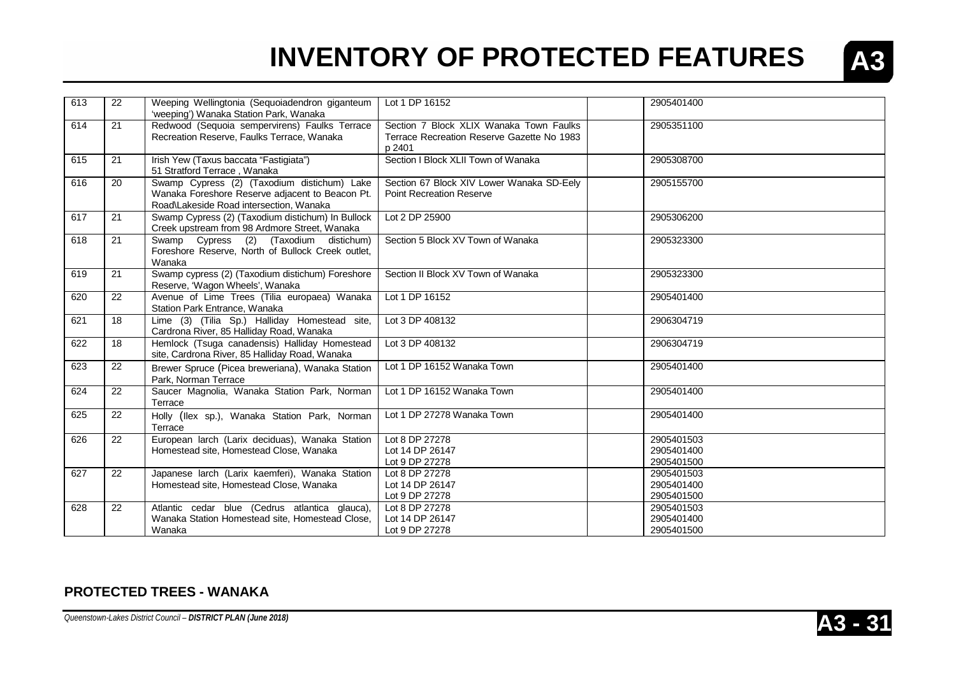

| 613 | 22 | Weeping Wellingtonia (Sequoiadendron giganteum<br>'weeping') Wanaka Station Park, Wanaka                                                  | Lot 1 DP 16152                                                                                  | 2905401400                             |
|-----|----|-------------------------------------------------------------------------------------------------------------------------------------------|-------------------------------------------------------------------------------------------------|----------------------------------------|
| 614 | 21 | Redwood (Sequoia sempervirens) Faulks Terrace<br>Recreation Reserve, Faulks Terrace, Wanaka                                               | Section 7 Block XLIX Wanaka Town Faulks<br>Terrace Recreation Reserve Gazette No 1983<br>p 2401 | 2905351100                             |
| 615 | 21 | Irish Yew (Taxus baccata "Fastigiata")<br>51 Stratford Terrace, Wanaka                                                                    | Section I Block XLII Town of Wanaka                                                             | 2905308700                             |
| 616 | 20 | Swamp Cypress (2) (Taxodium distichum) Lake<br>Wanaka Foreshore Reserve adjacent to Beacon Pt.<br>Road\Lakeside Road intersection, Wanaka | Section 67 Block XIV Lower Wanaka SD-Eely<br><b>Point Recreation Reserve</b>                    | 2905155700                             |
| 617 | 21 | Swamp Cypress (2) (Taxodium distichum) In Bullock<br>Creek upstream from 98 Ardmore Street, Wanaka                                        | Lot 2 DP 25900                                                                                  | 2905306200                             |
| 618 | 21 | Swamp Cypress (2) (Taxodium distichum)<br>Foreshore Reserve, North of Bullock Creek outlet,<br>Wanaka                                     | Section 5 Block XV Town of Wanaka                                                               | 2905323300                             |
| 619 | 21 | Swamp cypress (2) (Taxodium distichum) Foreshore<br>Reserve, 'Wagon Wheels', Wanaka                                                       | Section II Block XV Town of Wanaka                                                              | 2905323300                             |
| 620 | 22 | Avenue of Lime Trees (Tilia europaea) Wanaka<br>Station Park Entrance, Wanaka                                                             | Lot 1 DP 16152                                                                                  | 2905401400                             |
| 621 | 18 | Lime (3) (Tilia Sp.) Halliday Homestead site,<br>Cardrona River, 85 Halliday Road, Wanaka                                                 | Lot 3 DP 408132                                                                                 | 2906304719                             |
| 622 | 18 | Hemlock (Tsuga canadensis) Halliday Homestead<br>site, Cardrona River, 85 Halliday Road, Wanaka                                           | Lot 3 DP 408132                                                                                 | 2906304719                             |
| 623 | 22 | Brewer Spruce (Picea breweriana), Wanaka Station<br>Park. Norman Terrace                                                                  | Lot 1 DP 16152 Wanaka Town                                                                      | 2905401400                             |
| 624 | 22 | Saucer Magnolia, Wanaka Station Park, Norman<br>Terrace                                                                                   | Lot 1 DP 16152 Wanaka Town                                                                      | 2905401400                             |
| 625 | 22 | Holly (Ilex sp.), Wanaka Station Park, Norman<br>Terrace                                                                                  | Lot 1 DP 27278 Wanaka Town                                                                      | 2905401400                             |
| 626 | 22 | European larch (Larix deciduas), Wanaka Station<br>Homestead site, Homestead Close, Wanaka                                                | Lot 8 DP 27278<br>Lot 14 DP 26147<br>Lot 9 DP 27278                                             | 2905401503<br>2905401400<br>2905401500 |
| 627 | 22 | Japanese larch (Larix kaemferi), Wanaka Station<br>Homestead site, Homestead Close, Wanaka                                                | Lot 8 DP 27278<br>Lot 14 DP 26147<br>Lot 9 DP 27278                                             | 2905401503<br>2905401400<br>2905401500 |
| 628 | 22 | Atlantic cedar blue (Cedrus atlantica glauca),<br>Wanaka Station Homestead site, Homestead Close,<br>Wanaka                               | Lot 8 DP 27278<br>Lot 14 DP 26147<br>Lot 9 DP 27278                                             | 2905401503<br>2905401400<br>2905401500 |

#### **PROTECTED TREES - WANAKA**

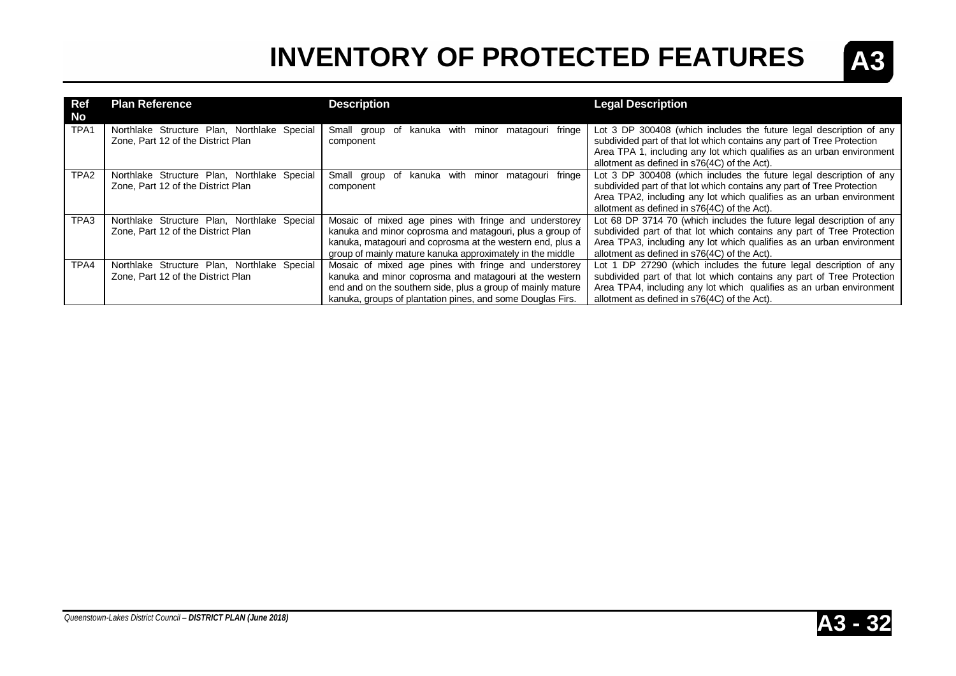

| Ref<br>No        | <b>Plan Reference</b>                                                             | <b>Description</b>                                                                                                                                                                                                                           | <b>Legal Description</b>                                                                                                                                                                                                                                                                                              |
|------------------|-----------------------------------------------------------------------------------|----------------------------------------------------------------------------------------------------------------------------------------------------------------------------------------------------------------------------------------------|-----------------------------------------------------------------------------------------------------------------------------------------------------------------------------------------------------------------------------------------------------------------------------------------------------------------------|
| TPA <sub>1</sub> | Northlake Structure Plan, Northlake Special<br>Zone, Part 12 of the District Plan | with<br>Small group<br>matagouri fringe<br>kanuka<br>minor<br>of<br>component                                                                                                                                                                | Lot 3 DP 300408 (which includes the future legal description of any<br>subdivided part of that lot which contains any part of Tree Protection<br>Area TPA 1, including any lot which qualifies as an urban environment                                                                                                |
| TPA <sub>2</sub> | Northlake Structure Plan, Northlake Special<br>Zone, Part 12 of the District Plan | with<br>minor<br>matagouri fringe<br>Small group<br>kanuka<br>_of<br>component                                                                                                                                                               | allotment as defined in s76(4C) of the Act).<br>Lot 3 DP 300408 (which includes the future legal description of any<br>subdivided part of that lot which contains any part of Tree Protection<br>Area TPA2, including any lot which qualifies as an urban environment<br>allotment as defined in s76{4C} of the Act). |
| TPA3             | Northlake Structure Plan, Northlake Special<br>Zone, Part 12 of the District Plan | Mosaic of mixed age pines with fringe and understorey<br>kanuka and minor coprosma and matagouri, plus a group of<br>kanuka, matagouri and coprosma at the western end, plus a<br>group of mainly mature kanuka approximately in the middle  | Lot 68 DP 3714 70 (which includes the future legal description of any<br>subdivided part of that lot which contains any part of Tree Protection<br>Area TPA3, including any lot which qualifies as an urban environment<br>allotment as defined in s76(4C) of the Act).                                               |
| TPA4             | Northlake Structure Plan, Northlake Special<br>Zone, Part 12 of the District Plan | Mosaic of mixed age pines with fringe and understorey<br>kanuka and minor coprosma and matagouri at the western<br>end and on the southern side, plus a group of mainly mature<br>kanuka, groups of plantation pines, and some Douglas Firs. | Lot 1 DP 27290 (which includes the future legal description of any<br>subdivided part of that lot which contains any part of Tree Protection<br>Area TPA4, including any lot which qualifies as an urban environment<br>allotment as defined in s76(4C) of the Act).                                                  |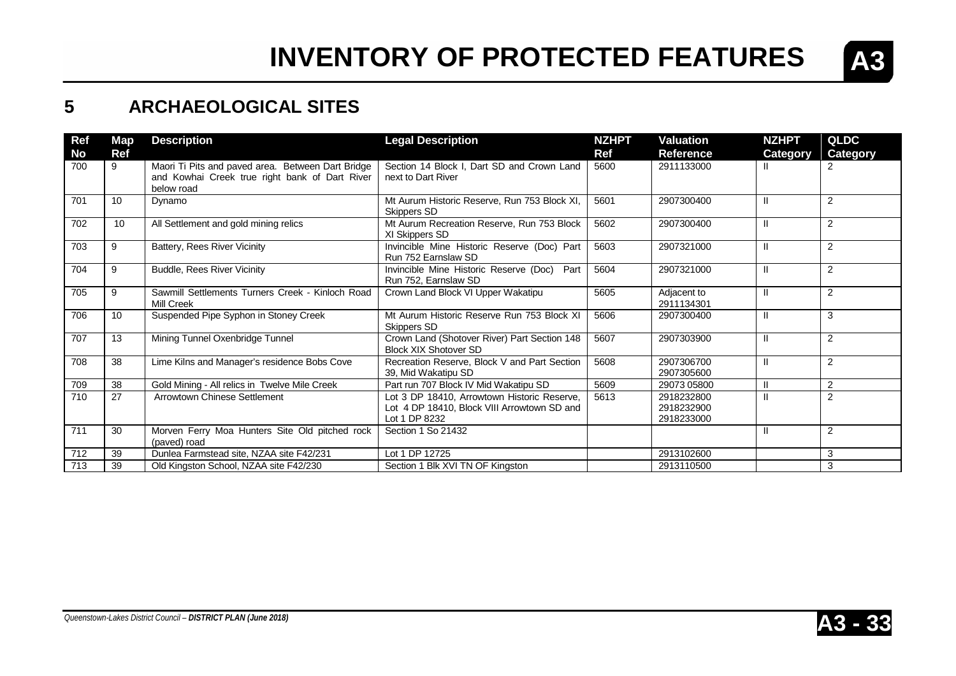

### **5 ARCHAEOLOGICAL SITES**

| Ref       | Map | <b>Description</b>                                                                                                | <b>Legal Description</b>                                                                                    | <b>NZHPT</b> | <b>Valuation</b>                       | <b>NZHPT</b> | <b>QLDC</b>    |
|-----------|-----|-------------------------------------------------------------------------------------------------------------------|-------------------------------------------------------------------------------------------------------------|--------------|----------------------------------------|--------------|----------------|
| <b>No</b> | Ref |                                                                                                                   |                                                                                                             | <b>Ref</b>   | <b>Reference</b>                       | Category     | Category       |
| 700       | 9   | Maori Ti Pits and paved area. Between Dart Bridge<br>and Kowhai Creek true right bank of Dart River<br>below road | Section 14 Block I, Dart SD and Crown Land<br>next to Dart River                                            | 5600         | 2911133000                             |              | $\overline{2}$ |
| 701       | 10  | Dynamo                                                                                                            | Mt Aurum Historic Reserve, Run 753 Block XI,<br>Skippers SD                                                 | 5601         | 2907300400                             |              | 2              |
| 702       | 10  | All Settlement and gold mining relics                                                                             | Mt Aurum Recreation Reserve, Run 753 Block<br>XI Skippers SD                                                | 5602         | 2907300400                             | $\mathbf{I}$ | 2              |
| 703       | 9   | Battery, Rees River Vicinity                                                                                      | Invincible Mine Historic Reserve (Doc) Part<br>Run 752 Earnslaw SD                                          | 5603         | 2907321000                             | $\mathbf{I}$ | 2              |
| 704       | 9   | <b>Buddle, Rees River Vicinity</b>                                                                                | Invincible Mine Historic Reserve (Doc)<br>Part<br>Run 752, Earnslaw SD                                      | 5604         | 2907321000                             | $\mathbf{I}$ | 2              |
| 705       | 9   | Sawmill Settlements Turners Creek - Kinloch Road<br>Mill Creek                                                    | Crown Land Block VI Upper Wakatipu                                                                          | 5605         | Adjacent to<br>2911134301              | $\mathbf{I}$ | $\overline{2}$ |
| 706       | 10  | Suspended Pipe Syphon in Stoney Creek                                                                             | Mt Aurum Historic Reserve Run 753 Block XI<br><b>Skippers SD</b>                                            | 5606         | 2907300400                             | $\mathbf{I}$ | 3              |
| 707       | 13  | Mining Tunnel Oxenbridge Tunnel                                                                                   | Crown Land (Shotover River) Part Section 148<br><b>Block XIX Shotover SD</b>                                | 5607         | 2907303900                             | $\mathbf{I}$ | 2              |
| 708       | 38  | Lime Kilns and Manager's residence Bobs Cove                                                                      | Recreation Reserve, Block V and Part Section<br>39, Mid Wakatipu SD                                         | 5608         | 2907306700<br>2907305600               | $\mathbf{H}$ | 2              |
| 709       | 38  | Gold Mining - All relics in Twelve Mile Creek                                                                     | Part run 707 Block IV Mid Wakatipu SD                                                                       | 5609         | 29073 05800                            |              | 2              |
| 710       | 27  | Arrowtown Chinese Settlement                                                                                      | Lot 3 DP 18410, Arrowtown Historic Reserve,<br>Lot 4 DP 18410, Block VIII Arrowtown SD and<br>Lot 1 DP 8232 | 5613         | 2918232800<br>2918232900<br>2918233000 |              | 2              |
| 711       | 30  | Morven Ferry Moa Hunters Site Old pitched rock<br>(paved) road                                                    | Section 1 So 21432                                                                                          |              |                                        | Ш            | $\overline{2}$ |
| 712       | 39  | Dunlea Farmstead site, NZAA site F42/231                                                                          | Lot 1 DP 12725                                                                                              |              | 2913102600                             |              | 3              |
| 713       | 39  | Old Kingston School, NZAA site F42/230                                                                            | Section 1 Blk XVI TN OF Kingston                                                                            |              | 2913110500                             |              | 3              |